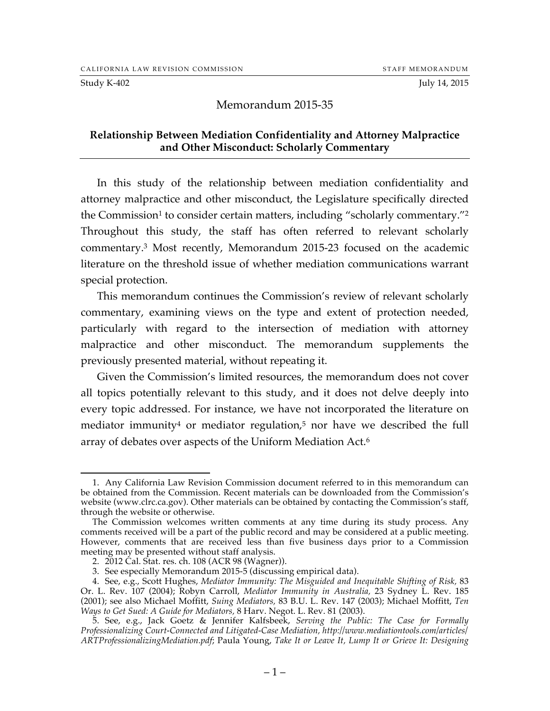#### Study K-402 July 14, 2015

#### Memorandum 2015-35

#### **Relationship Between Mediation Confidentiality and Attorney Malpractice and Other Misconduct: Scholarly Commentary**

In this study of the relationship between mediation confidentiality and attorney malpractice and other misconduct, the Legislature specifically directed the Commission<sup>1</sup> to consider certain matters, including "scholarly commentary."<sup>2</sup> Throughout this study, the staff has often referred to relevant scholarly commentary.3 Most recently, Memorandum 2015-23 focused on the academic literature on the threshold issue of whether mediation communications warrant special protection.

This memorandum continues the Commission's review of relevant scholarly commentary, examining views on the type and extent of protection needed, particularly with regard to the intersection of mediation with attorney malpractice and other misconduct. The memorandum supplements the previously presented material, without repeating it.

Given the Commission's limited resources, the memorandum does not cover all topics potentially relevant to this study, and it does not delve deeply into every topic addressed. For instance, we have not incorporated the literature on mediator immunity<sup>4</sup> or mediator regulation,<sup>5</sup> nor have we described the full array of debates over aspects of the Uniform Mediation Act.6

 <sup>1.</sup> Any California Law Revision Commission document referred to in this memorandum can be obtained from the Commission. Recent materials can be downloaded from the Commission's website (www.clrc.ca.gov). Other materials can be obtained by contacting the Commission's staff, through the website or otherwise.

The Commission welcomes written comments at any time during its study process. Any comments received will be a part of the public record and may be considered at a public meeting. However, comments that are received less than five business days prior to a Commission meeting may be presented without staff analysis.

<sup>2.</sup> 2012 Cal. Stat. res. ch. 108 (ACR 98 (Wagner)).

<sup>3.</sup> See especially Memorandum 2015-5 (discussing empirical data).

<sup>4.</sup> See, e.g., Scott Hughes, *Mediator Immunity: The Misguided and Inequitable Shifting of Risk,* 83 Or. L. Rev. 107 (2004); Robyn Carroll, *Mediator Immunity in Australia,* 23 Sydney L. Rev. 185 (2001); see also Michael Moffitt, *Suing Mediators,* 83 B.U. L. Rev. 147 (2003); Michael Moffitt, *Ten Ways to Get Sued: A Guide for Mediators,* 8 Harv. Negot. L. Rev. 81 (2003).

<sup>5.</sup> See, e.g., Jack Goetz & Jennifer Kalfsbeek, *Serving the Public: The Case for Formally Professionalizing Court-Connected and Litigated-Case Mediation, http://www.mediationtools.com/articles/ ARTProfessionalizingMediation.pdf*; Paula Young, *Take It or Leave It, Lump It or Grieve It: Designing*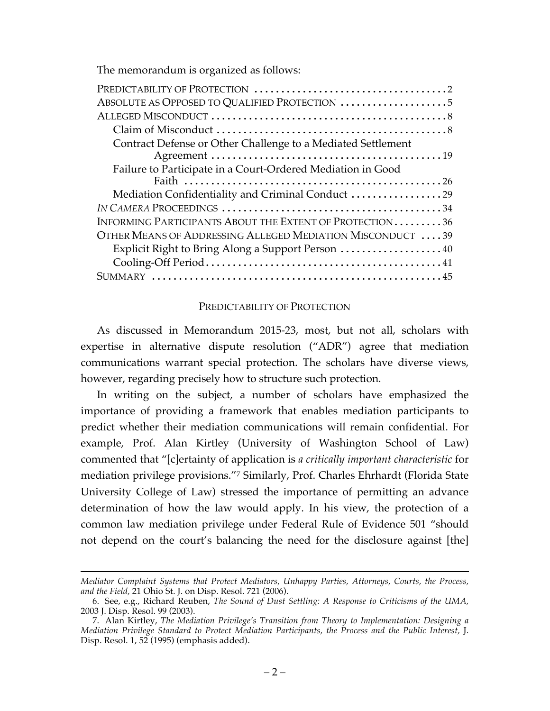The memorandum is organized as follows:

| ABSOLUTE AS OPPOSED TO QUALIFIED PROTECTION                  |
|--------------------------------------------------------------|
|                                                              |
|                                                              |
| Contract Defense or Other Challenge to a Mediated Settlement |
|                                                              |
| Failure to Participate in a Court-Ordered Mediation in Good  |
|                                                              |
| Mediation Confidentiality and Criminal Conduct 29            |
|                                                              |
| INFORMING PARTICIPANTS ABOUT THE EXTENT OF PROTECTION36      |
| OTHER MEANS OF ADDRESSING ALLEGED MEDIATION MISCONDUCT  39   |
| Explicit Right to Bring Along a Support Person  40           |
|                                                              |
|                                                              |

#### PREDICTABILITY OF PROTECTION

As discussed in Memorandum 2015-23, most, but not all, scholars with expertise in alternative dispute resolution ("ADR") agree that mediation communications warrant special protection. The scholars have diverse views, however, regarding precisely how to structure such protection.

In writing on the subject, a number of scholars have emphasized the importance of providing a framework that enables mediation participants to predict whether their mediation communications will remain confidential. For example, Prof. Alan Kirtley (University of Washington School of Law) commented that "[c]ertainty of application is *a critically important characteristic* for mediation privilege provisions."7 Similarly, Prof. Charles Ehrhardt (Florida State University College of Law) stressed the importance of permitting an advance determination of how the law would apply. In his view, the protection of a common law mediation privilege under Federal Rule of Evidence 501 "should not depend on the court's balancing the need for the disclosure against [the]

 $\overline{a}$ *Mediator Complaint Systems that Protect Mediators, Unhappy Parties, Attorneys, Courts, the Process, and the Field,* 21 Ohio St. J. on Disp. Resol. 721 (2006).

<sup>6.</sup> See, e.g., Richard Reuben, *The Sound of Dust Settling: A Response to Criticisms of the UMA,*  2003 J. Disp. Resol. 99 (2003).

<sup>7.</sup> Alan Kirtley, *The Mediation Privilege's Transition from Theory to Implementation: Designing a Mediation Privilege Standard to Protect Mediation Participants, the Process and the Public Interest,* J. Disp. Resol. 1, 52 (1995) (emphasis added).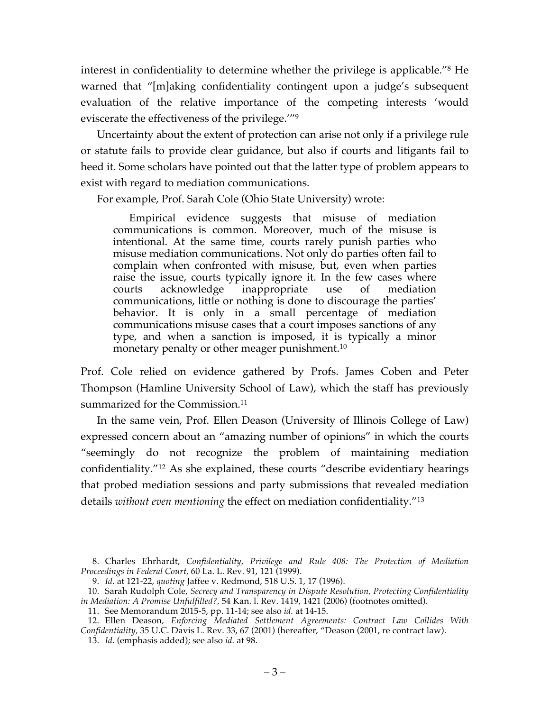interest in confidentiality to determine whether the privilege is applicable."8 He warned that "[m]aking confidentiality contingent upon a judge's subsequent evaluation of the relative importance of the competing interests 'would eviscerate the effectiveness of the privilege.'"9

Uncertainty about the extent of protection can arise not only if a privilege rule or statute fails to provide clear guidance, but also if courts and litigants fail to heed it. Some scholars have pointed out that the latter type of problem appears to exist with regard to mediation communications.

For example, Prof. Sarah Cole (Ohio State University) wrote:

Empirical evidence suggests that misuse of mediation communications is common. Moreover, much of the misuse is intentional. At the same time, courts rarely punish parties who misuse mediation communications. Not only do parties often fail to complain when confronted with misuse, but, even when parties raise the issue, courts typically ignore it. In the few cases where courts acknowledge inappropriate use of mediation communications, little or nothing is done to discourage the parties' behavior. It is only in a small percentage of mediation communications misuse cases that a court imposes sanctions of any type, and when a sanction is imposed, it is typically a minor monetary penalty or other meager punishment.<sup>10</sup>

Prof. Cole relied on evidence gathered by Profs. James Coben and Peter Thompson (Hamline University School of Law), which the staff has previously summarized for the Commission.<sup>11</sup>

In the same vein, Prof. Ellen Deason (University of Illinois College of Law) expressed concern about an "amazing number of opinions" in which the courts "seemingly do not recognize the problem of maintaining mediation confidentiality."12 As she explained, these courts "describe evidentiary hearings that probed mediation sessions and party submissions that revealed mediation details *without even mentioning* the effect on mediation confidentiality."13

 <sup>8.</sup> Charles Ehrhardt, *Confidentiality, Privilege and Rule 408: The Protection of Mediation Proceedings in Federal Court,* 60 La. L. Rev. 91, 121 (1999).

<sup>9.</sup> *Id.* at 121-22, *quoting* Jaffee v. Redmond, 518 U.S. 1, 17 (1996).

<sup>10.</sup> Sarah Rudolph Cole, *Secrecy and Transparency in Dispute Resolution, Protecting Confidentiality in Mediation: A Promise Unfulfilled?,* 54 Kan. l. Rev. 1419, 1421 (2006) (footnotes omitted).

<sup>11.</sup> See Memorandum 2015-5, pp. 11-14; see also *id.* at 14-15.

<sup>12.</sup> Ellen Deason, *Enforcing Mediated Settlement Agreements: Contract Law Collides With Confidentiality,* 35 U.C. Davis L. Rev. 33, 67 (2001) (hereafter, "Deason (2001, re contract law).

<sup>13.</sup> *Id.* (emphasis added); see also *id.* at 98.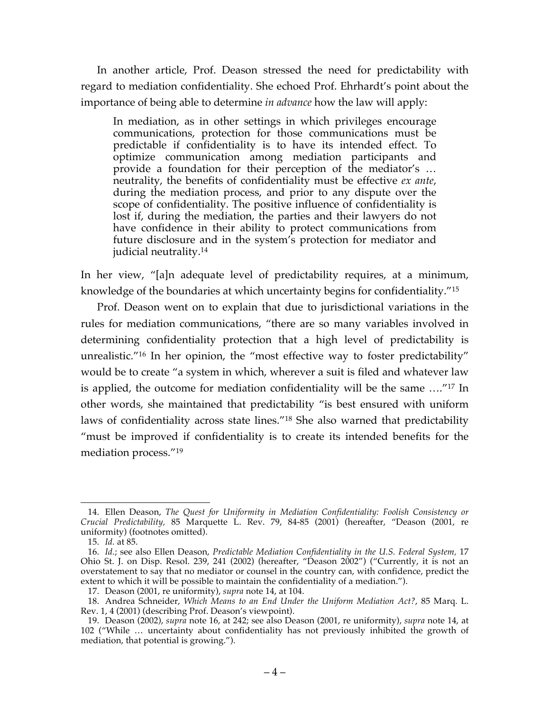In another article, Prof. Deason stressed the need for predictability with regard to mediation confidentiality. She echoed Prof. Ehrhardt's point about the importance of being able to determine *in advance* how the law will apply:

In mediation, as in other settings in which privileges encourage communications, protection for those communications must be predictable if confidentiality is to have its intended effect. To optimize communication among mediation participants and provide a foundation for their perception of the mediator's … neutrality, the benefits of confidentiality must be effective *ex ante*, during the mediation process, and prior to any dispute over the scope of confidentiality. The positive influence of confidentiality is lost if, during the mediation, the parties and their lawyers do not have confidence in their ability to protect communications from future disclosure and in the system's protection for mediator and judicial neutrality.14

In her view, "[a]n adequate level of predictability requires, at a minimum, knowledge of the boundaries at which uncertainty begins for confidentiality."15

Prof. Deason went on to explain that due to jurisdictional variations in the rules for mediation communications, "there are so many variables involved in determining confidentiality protection that a high level of predictability is unrealistic."16 In her opinion, the "most effective way to foster predictability" would be to create "a system in which, wherever a suit is filed and whatever law is applied, the outcome for mediation confidentiality will be the same …."17 In other words, she maintained that predictability "is best ensured with uniform laws of confidentiality across state lines."18 She also warned that predictability "must be improved if confidentiality is to create its intended benefits for the mediation process."19

 <sup>14.</sup> Ellen Deason, *The Quest for Uniformity in Mediation Confidentiality: Foolish Consistency or Crucial Predictability,* 85 Marquette L. Rev. 79, 84-85 (2001) (hereafter, "Deason (2001, re uniformity) (footnotes omitted).

<sup>15.</sup> *Id.* at 85.

<sup>16.</sup> *Id.*; see also Ellen Deason, *Predictable Mediation Confidentiality in the U.S. Federal System,* 17 Ohio St. J. on Disp. Resol. 239, 241 (2002) (hereafter, "Deason 2002") ("Currently, it is not an overstatement to say that no mediator or counsel in the country can, with confidence, predict the extent to which it will be possible to maintain the confidentiality of a mediation.").

<sup>17.</sup> Deason (2001, re uniformity), *supra* note 14, at 104.

<sup>18.</sup> Andrea Schneider, *Which Means to an End Under the Uniform Mediation Act?*, 85 Marq. L. Rev. 1, 4 (2001) (describing Prof. Deason's viewpoint).

<sup>19.</sup> Deason (2002), *supra* note 16, at 242; see also Deason (2001, re uniformity), *supra* note 14, at 102 ("While … uncertainty about confidentiality has not previously inhibited the growth of mediation, that potential is growing.").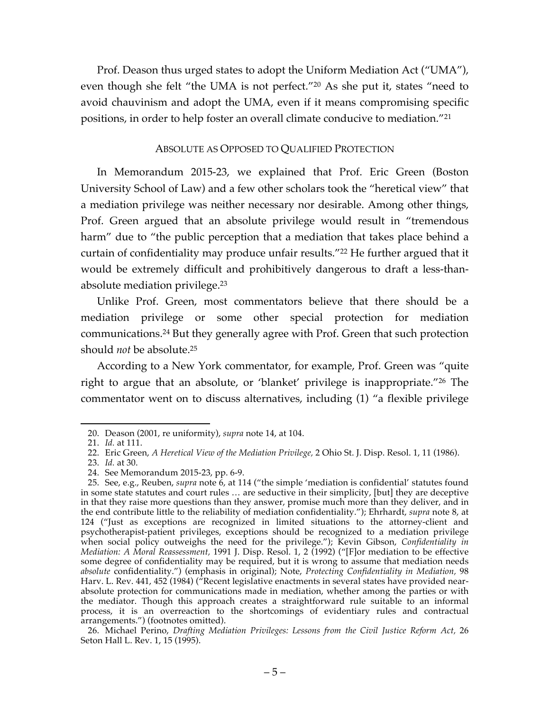Prof. Deason thus urged states to adopt the Uniform Mediation Act ("UMA"), even though she felt "the UMA is not perfect."20 As she put it, states "need to avoid chauvinism and adopt the UMA, even if it means compromising specific positions, in order to help foster an overall climate conducive to mediation."21

#### ABSOLUTE AS OPPOSED TO QUALIFIED PROTECTION

In Memorandum 2015-23, we explained that Prof. Eric Green (Boston University School of Law) and a few other scholars took the "heretical view" that a mediation privilege was neither necessary nor desirable. Among other things, Prof. Green argued that an absolute privilege would result in "tremendous harm" due to "the public perception that a mediation that takes place behind a curtain of confidentiality may produce unfair results."<sup>22</sup> He further argued that it would be extremely difficult and prohibitively dangerous to draft a less-thanabsolute mediation privilege.23

Unlike Prof. Green, most commentators believe that there should be a mediation privilege or some other special protection for mediation communications. <sup>24</sup> But they generally agree with Prof. Green that such protection should *not* be absolute.25

According to a New York commentator, for example, Prof. Green was "quite right to argue that an absolute, or 'blanket' privilege is inappropriate."26 The commentator went on to discuss alternatives, including (1) "a flexible privilege

 <sup>20.</sup> Deason (2001, re uniformity), *supra* note 14, at 104.

<sup>21.</sup> *Id.* at 111.

<sup>22.</sup> Eric Green, *A Heretical View of the Mediation Privilege,* 2 Ohio St. J. Disp. Resol. 1, 11 (1986).

<sup>23.</sup> *Id.* at 30.

<sup>24.</sup> See Memorandum 2015-23, pp. 6-9.

<sup>25.</sup> See, e.g., Reuben, *supra* note 6, at 114 ("the simple 'mediation is confidential' statutes found in some state statutes and court rules … are seductive in their simplicity, [but] they are deceptive in that they raise more questions than they answer, promise much more than they deliver, and in the end contribute little to the reliability of mediation confidentiality."); Ehrhardt, *supra* note 8, at 124 ("Just as exceptions are recognized in limited situations to the attorney-client and psychotherapist-patient privileges, exceptions should be recognized to a mediation privilege when social policy outweighs the need for the privilege."); Kevin Gibson, *Confidentiality in Mediation: A Moral Reassessment,* 1991 J. Disp. Resol. 1, 2 (1992) ("[F]or mediation to be effective some degree of confidentiality may be required, but it is wrong to assume that mediation needs *absolute* confidentiality.") (emphasis in original); Note, *Protecting Confidentiality in Mediation,* 98 Harv. L. Rev. 441, 452 (1984) (<sup>*a*</sup> Recent legislative enactments in several states have provided nearabsolute protection for communications made in mediation, whether among the parties or with the mediator. Though this approach creates a straightforward rule suitable to an informal the mediator. Though this approach creates a straightforward rule suitable to an informal process, it is an overreaction to the shortcomings of evidentiary rules and contractual arrangements.") (footnotes omitted).

<sup>26.</sup> Michael Perino, *Drafting Mediation Privileges: Lessons from the Civil Justice Reform Act,* 26 Seton Hall L. Rev. 1, 15 (1995).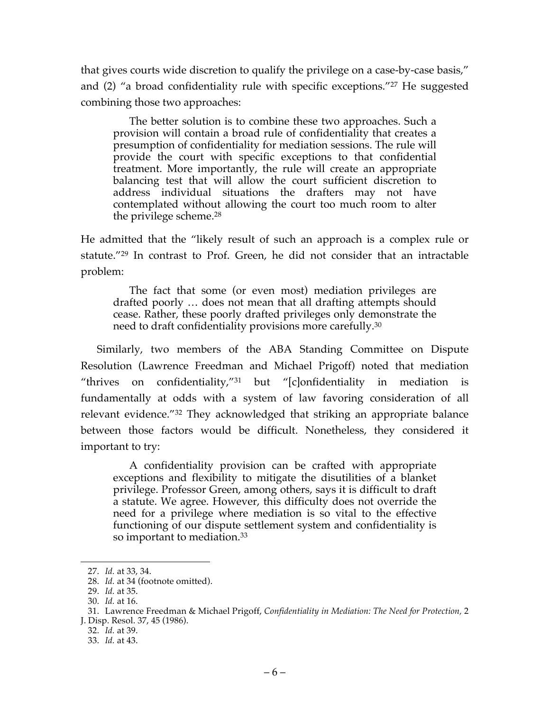that gives courts wide discretion to qualify the privilege on a case-by-case basis," and (2) "a broad confidentiality rule with specific exceptions."27 He suggested combining those two approaches:

The better solution is to combine these two approaches. Such a provision will contain a broad rule of confidentiality that creates a presumption of confidentiality for mediation sessions. The rule will provide the court with specific exceptions to that confidential treatment. More importantly, the rule will create an appropriate balancing test that will allow the court sufficient discretion to address individual situations the drafters may not have contemplated without allowing the court too much room to alter the privilege scheme.28

He admitted that the "likely result of such an approach is a complex rule or statute."29 In contrast to Prof. Green, he did not consider that an intractable problem:

The fact that some (or even most) mediation privileges are drafted poorly … does not mean that all drafting attempts should cease. Rather, these poorly drafted privileges only demonstrate the need to draft confidentiality provisions more carefully.30

Similarly, two members of the ABA Standing Committee on Dispute Resolution (Lawrence Freedman and Michael Prigoff) noted that mediation "thrives on confidentiality,"31 but "[c]onfidentiality in mediation is fundamentally at odds with a system of law favoring consideration of all relevant evidence."32 They acknowledged that striking an appropriate balance between those factors would be difficult. Nonetheless, they considered it important to try:

A confidentiality provision can be crafted with appropriate exceptions and flexibility to mitigate the disutilities of a blanket privilege. Professor Green, among others, says it is difficult to draft a statute. We agree. However, this difficulty does not override the need for a privilege where mediation is so vital to the effective functioning of our dispute settlement system and confidentiality is so important to mediation.<sup>33</sup>

 <sup>27.</sup> *Id.* at 33, 34.

<sup>28.</sup> *Id.* at 34 (footnote omitted).

<sup>29.</sup> *Id.* at 35.

<sup>30.</sup> *Id.* at 16.

<sup>31.</sup> Lawrence Freedman & Michael Prigoff, *Confidentiality in Mediation: The Need for Protection,* 2 J. Disp. Resol. 37, 45 (1986).

<sup>32.</sup> *Id.* at 39.

<sup>33.</sup> *Id.* at 43.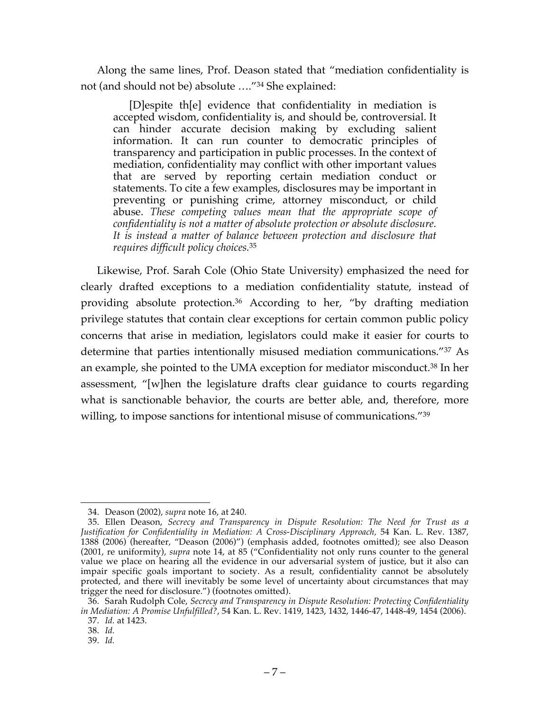Along the same lines, Prof. Deason stated that "mediation confidentiality is not (and should not be) absolute …."34 She explained:

[D]espite th[e] evidence that confidentiality in mediation is accepted wisdom, confidentiality is, and should be, controversial. It can hinder accurate decision making by excluding salient information. It can run counter to democratic principles of transparency and participation in public processes. In the context of mediation, confidentiality may conflict with other important values that are served by reporting certain mediation conduct or statements. To cite a few examples, disclosures may be important in preventing or punishing crime, attorney misconduct, or child abuse. *These competing values mean that the appropriate scope of confidentiality is not a matter of absolute protection or absolute disclosure. It is instead a matter of balance between protection and disclosure that requires difficult policy choices.*<sup>35</sup>

Likewise, Prof. Sarah Cole (Ohio State University) emphasized the need for clearly drafted exceptions to a mediation confidentiality statute, instead of providing absolute protection.36 According to her, "by drafting mediation privilege statutes that contain clear exceptions for certain common public policy concerns that arise in mediation, legislators could make it easier for courts to determine that parties intentionally misused mediation communications."37 As an example, she pointed to the UMA exception for mediator misconduct.38 In her assessment, "[w]hen the legislature drafts clear guidance to courts regarding what is sanctionable behavior, the courts are better able, and, therefore, more willing, to impose sanctions for intentional misuse of communications."<sup>39</sup>

 <sup>34.</sup> Deason (2002), *supra* note 16, at 240.

<sup>35.</sup> Ellen Deason, *Secrecy and Transparency in Dispute Resolution: The Need for Trust as a Justification for Confidentiality in Mediation: A Cross-Disciplinary Approach,* 54 Kan. L. Rev. 1387, 1388 (2006) (hereafter, "Deason (2006)") (emphasis added, footnotes omitted); see also Deason (2001, re uniformity), *supra* note 14, at 85 ("Confidentiality not only runs counter to the general value we place on hearing all the evidence in our adversarial system of justice, but it also can impair specific goals important to society. As a result, confidentiality cannot be absolutely protected, and there will inevitably be some level of uncertainty about circumstances that may trigger the need for disclosure.") (footnotes omitted).

<sup>36.</sup> Sarah Rudolph Cole, *Secrecy and Transparency in Dispute Resolution: Protecting Confidentiality in Mediation: A Promise Unfulfilled?*, 54 Kan. L. Rev. 1419, 1423, 1432, 1446-47, 1448-49, 1454 (2006). 37. *Id.* at 1423.

<sup>38.</sup> *Id.*

<sup>39.</sup> *Id.*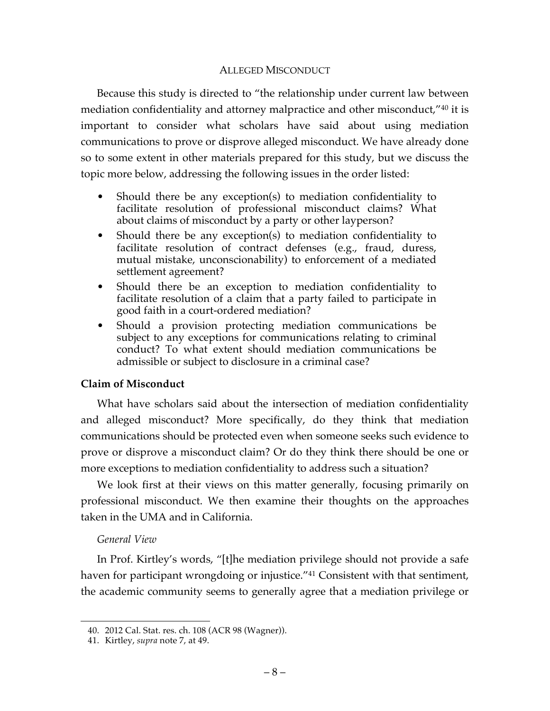### ALLEGED MISCONDUCT

Because this study is directed to "the relationship under current law between mediation confidentiality and attorney malpractice and other misconduct,"40 it is important to consider what scholars have said about using mediation communications to prove or disprove alleged misconduct. We have already done so to some extent in other materials prepared for this study, but we discuss the topic more below, addressing the following issues in the order listed:

- Should there be any exception(s) to mediation confidentiality to facilitate resolution of professional misconduct claims? What about claims of misconduct by a party or other layperson?
- Should there be any exception(s) to mediation confidentiality to facilitate resolution of contract defenses (e.g., fraud, duress, mutual mistake, unconscionability) to enforcement of a mediated settlement agreement?
- Should there be an exception to mediation confidentiality to facilitate resolution of a claim that a party failed to participate in good faith in a court-ordered mediation?
- Should a provision protecting mediation communications be subject to any exceptions for communications relating to criminal conduct? To what extent should mediation communications be admissible or subject to disclosure in a criminal case?

### **Claim of Misconduct**

What have scholars said about the intersection of mediation confidentiality and alleged misconduct? More specifically, do they think that mediation communications should be protected even when someone seeks such evidence to prove or disprove a misconduct claim? Or do they think there should be one or more exceptions to mediation confidentiality to address such a situation?

We look first at their views on this matter generally, focusing primarily on professional misconduct. We then examine their thoughts on the approaches taken in the UMA and in California.

## *General View*

In Prof. Kirtley's words, "[t]he mediation privilege should not provide a safe haven for participant wrongdoing or injustice.<sup>"41</sup> Consistent with that sentiment, the academic community seems to generally agree that a mediation privilege or

 <sup>40.</sup> 2012 Cal. Stat. res. ch. 108 (ACR 98 (Wagner)).

<sup>41.</sup> Kirtley, *supra* note 7, at 49.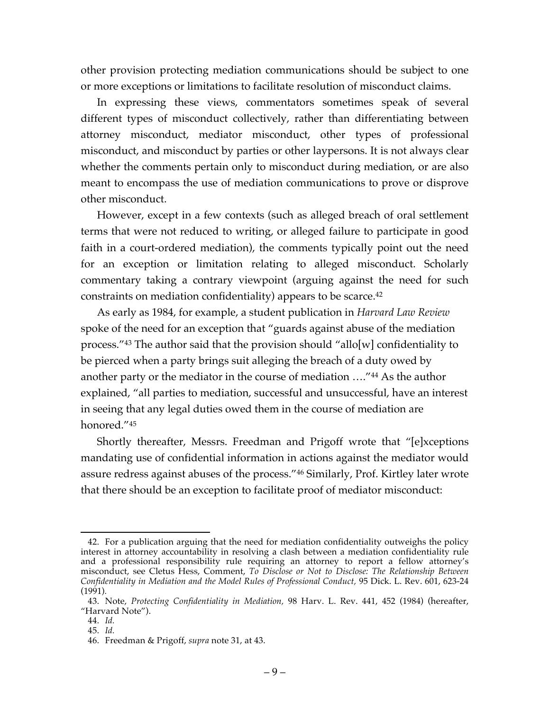other provision protecting mediation communications should be subject to one or more exceptions or limitations to facilitate resolution of misconduct claims.

In expressing these views, commentators sometimes speak of several different types of misconduct collectively, rather than differentiating between attorney misconduct, mediator misconduct, other types of professional misconduct, and misconduct by parties or other laypersons. It is not always clear whether the comments pertain only to misconduct during mediation, or are also meant to encompass the use of mediation communications to prove or disprove other misconduct.

However, except in a few contexts (such as alleged breach of oral settlement terms that were not reduced to writing, or alleged failure to participate in good faith in a court-ordered mediation), the comments typically point out the need for an exception or limitation relating to alleged misconduct. Scholarly commentary taking a contrary viewpoint (arguing against the need for such constraints on mediation confidentiality) appears to be scarce. 42

As early as 1984, for example, a student publication in *Harvard Law Review* spoke of the need for an exception that "guards against abuse of the mediation process."43 The author said that the provision should "allo[w] confidentiality to be pierced when a party brings suit alleging the breach of a duty owed by another party or the mediator in the course of mediation …."44 As the author explained, "all parties to mediation, successful and unsuccessful, have an interest in seeing that any legal duties owed them in the course of mediation are honored."45

Shortly thereafter, Messrs. Freedman and Prigoff wrote that "[e]xceptions mandating use of confidential information in actions against the mediator would assure redress against abuses of the process."46 Similarly, Prof. Kirtley later wrote that there should be an exception to facilitate proof of mediator misconduct:

 <sup>42.</sup> For a publication arguing that the need for mediation confidentiality outweighs the policy interest in attorney accountability in resolving a clash between a mediation confidentiality rule and a professional responsibility rule requiring an attorney to report a fellow attorney's misconduct, see Cletus Hess, Comment, *To Disclose or Not to Disclose: The Relationship Between Confidentiality in Mediation and the Model Rules of Professional Conduct,* 95 Dick. L. Rev. 601, 623-24 (1991)*.*

<sup>43.</sup> Note, *Protecting Confidentiality in Mediation,* 98 Harv. L. Rev. 441, 452 (1984) (hereafter, "Harvard Note").

<sup>44.</sup> *Id.*

<sup>45.</sup> *Id.*

<sup>46.</sup> Freedman & Prigoff, *supra* note 31, at 43.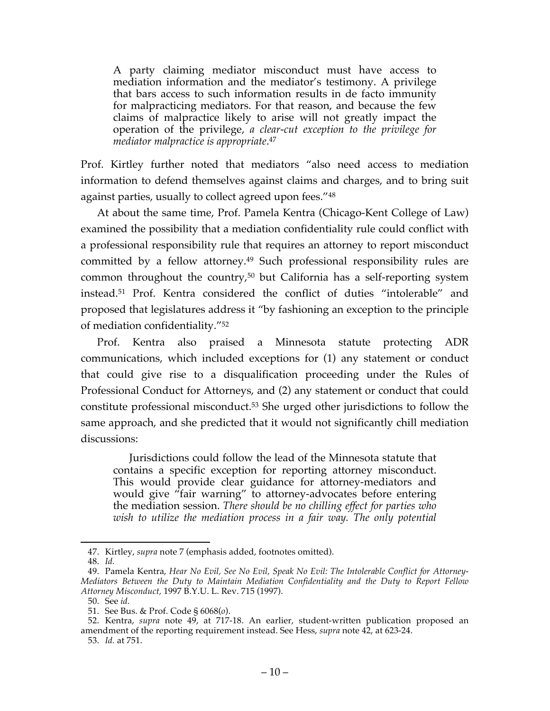A party claiming mediator misconduct must have access to mediation information and the mediator's testimony. A privilege that bars access to such information results in de facto immunity for malpracticing mediators. For that reason, and because the few claims of malpractice likely to arise will not greatly impact the operation of the privilege, *a clear-cut exception to the privilege for mediator malpractice is appropriate*. 47

Prof. Kirtley further noted that mediators "also need access to mediation information to defend themselves against claims and charges, and to bring suit against parties, usually to collect agreed upon fees."48

At about the same time, Prof. Pamela Kentra (Chicago-Kent College of Law) examined the possibility that a mediation confidentiality rule could conflict with a professional responsibility rule that requires an attorney to report misconduct committed by a fellow attorney.<sup>49</sup> Such professional responsibility rules are common throughout the country,50 but California has a self-reporting system instead.51 Prof. Kentra considered the conflict of duties "intolerable" and proposed that legislatures address it "by fashioning an exception to the principle of mediation confidentiality."52

Prof. Kentra also praised a Minnesota statute protecting ADR communications, which included exceptions for (1) any statement or conduct that could give rise to a disqualification proceeding under the Rules of Professional Conduct for Attorneys, and (2) any statement or conduct that could constitute professional misconduct.53 She urged other jurisdictions to follow the same approach, and she predicted that it would not significantly chill mediation discussions:

Jurisdictions could follow the lead of the Minnesota statute that contains a specific exception for reporting attorney misconduct. This would provide clear guidance for attorney-mediators and would give "fair warning" to attorney-advocates before entering the mediation session. *There should be no chilling effect for parties who wish to utilize the mediation process in a fair way. The only potential* 

 <sup>47.</sup> Kirtley, *supra* note 7 (emphasis added, footnotes omitted).

<sup>48.</sup> *Id.*

<sup>49.</sup> Pamela Kentra, *Hear No Evil, See No Evil, Speak No Evil: The Intolerable Conflict for Attorney-Mediators Between the Duty to Maintain Mediation Confidentiality and the Duty to Report Fellow Attorney Misconduct,* 1997 B.Y.U. L. Rev. 715 (1997).

<sup>50.</sup> See *id.*

<sup>51.</sup> See Bus. & Prof. Code § 6068(*o*).

<sup>52.</sup> Kentra, *supra* note 49, at 717-18. An earlier, student-written publication proposed an amendment of the reporting requirement instead. See Hess, *supra* note 42, at 623-24.

<sup>53.</sup> *Id.* at 751.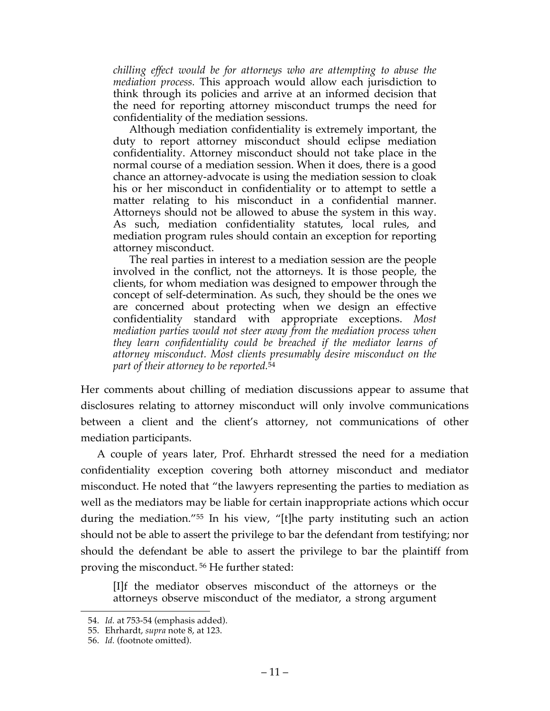*chilling effect would be for attorneys who are attempting to abuse the mediation process.* This approach would allow each jurisdiction to think through its policies and arrive at an informed decision that the need for reporting attorney misconduct trumps the need for confidentiality of the mediation sessions.

Although mediation confidentiality is extremely important, the duty to report attorney misconduct should eclipse mediation confidentiality. Attorney misconduct should not take place in the normal course of a mediation session. When it does, there is a good chance an attorney-advocate is using the mediation session to cloak his or her misconduct in confidentiality or to attempt to settle a matter relating to his misconduct in a confidential manner. Attorneys should not be allowed to abuse the system in this way. As such, mediation confidentiality statutes, local rules, and mediation program rules should contain an exception for reporting attorney misconduct.

The real parties in interest to a mediation session are the people involved in the conflict, not the attorneys. It is those people, the clients, for whom mediation was designed to empower through the concept of self-determination. As such, they should be the ones we are concerned about protecting when we design an effective confidentiality standard with appropriate exceptions. *Most mediation parties would not steer away from the mediation process when they learn confidentiality could be breached if the mediator learns of attorney misconduct. Most clients presumably desire misconduct on the part of their attorney to be reported.*<sup>54</sup>

Her comments about chilling of mediation discussions appear to assume that disclosures relating to attorney misconduct will only involve communications between a client and the client's attorney, not communications of other mediation participants.

A couple of years later, Prof. Ehrhardt stressed the need for a mediation confidentiality exception covering both attorney misconduct and mediator misconduct. He noted that "the lawyers representing the parties to mediation as well as the mediators may be liable for certain inappropriate actions which occur during the mediation."55 In his view, "[t]he party instituting such an action should not be able to assert the privilege to bar the defendant from testifying; nor should the defendant be able to assert the privilege to bar the plaintiff from proving the misconduct. <sup>56</sup> He further stated:

[I]f the mediator observes misconduct of the attorneys or the attorneys observe misconduct of the mediator, a strong argument

 <sup>54.</sup> *Id.* at 753-54 (emphasis added).

<sup>55.</sup> Ehrhardt, *supra* note 8, at 123.

<sup>56.</sup> *Id.* (footnote omitted).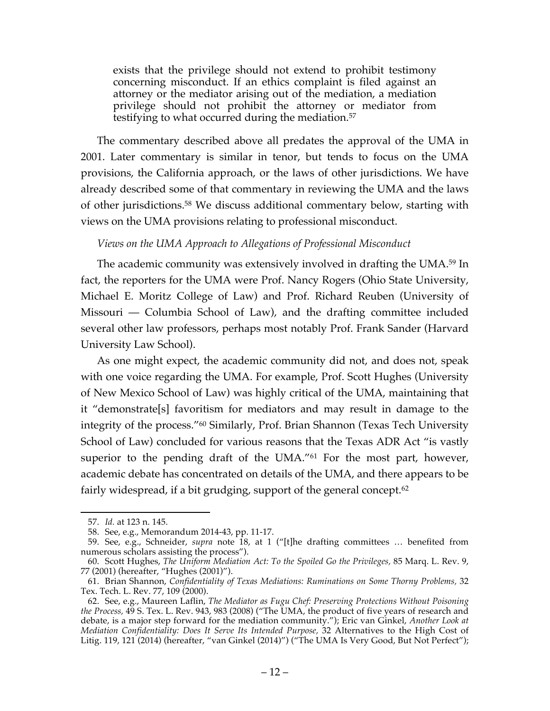exists that the privilege should not extend to prohibit testimony concerning misconduct. If an ethics complaint is filed against an attorney or the mediator arising out of the mediation, a mediation privilege should not prohibit the attorney or mediator from testifying to what occurred during the mediation.57

The commentary described above all predates the approval of the UMA in 2001. Later commentary is similar in tenor, but tends to focus on the UMA provisions, the California approach, or the laws of other jurisdictions. We have already described some of that commentary in reviewing the UMA and the laws of other jurisdictions. <sup>58</sup> We discuss additional commentary below, starting with views on the UMA provisions relating to professional misconduct.

### *Views on the UMA Approach to Allegations of Professional Misconduct*

The academic community was extensively involved in drafting the UMA.59 In fact, the reporters for the UMA were Prof. Nancy Rogers (Ohio State University, Michael E. Moritz College of Law) and Prof. Richard Reuben (University of Missouri — Columbia School of Law), and the drafting committee included several other law professors, perhaps most notably Prof. Frank Sander (Harvard University Law School).

As one might expect, the academic community did not, and does not, speak with one voice regarding the UMA. For example, Prof. Scott Hughes (University of New Mexico School of Law) was highly critical of the UMA, maintaining that it "demonstrate[s] favoritism for mediators and may result in damage to the integrity of the process."60 Similarly, Prof. Brian Shannon (Texas Tech University School of Law) concluded for various reasons that the Texas ADR Act "is vastly superior to the pending draft of the UMA."<sup>61</sup> For the most part, however, academic debate has concentrated on details of the UMA, and there appears to be fairly widespread, if a bit grudging, support of the general concept.62

 <sup>57.</sup> *Id.* at 123 n. 145.

<sup>58.</sup> See, e.g., Memorandum 2014-43, pp. 11-17.

<sup>59.</sup> See, e.g., Schneider, *supra* note 18, at 1 ("[t]he drafting committees … benefited from numerous scholars assisting the process").

<sup>60.</sup> Scott Hughes, *The Uniform Mediation Act: To the Spoiled Go the Privileges,* 85 Marq. L. Rev. 9, 77 (2001) (hereafter, "Hughes (2001)").

<sup>61.</sup> Brian Shannon, *Confidentiality of Texas Mediations: Ruminations on Some Thorny Problems,* 32 Tex. Tech. L. Rev. 77, 109 (2000).

<sup>62.</sup> See, e.g., Maureen Laflin, *The Mediator as Fugu Chef: Preserving Protections Without Poisoning the Process,* 49 S. Tex. L. Rev. 943, 983 (2008) ("The UMA, the product of five years of research and debate, is a major step forward for the mediation community."); Eric van Ginkel, *Another Look at Mediation Confidentiality: Does It Serve Its Intended Purpose,* 32 Alternatives to the High Cost of Litig. 119, 121 (2014) (hereafter, "van Ginkel (2014)") ("The UMA Is Very Good, But Not Perfect");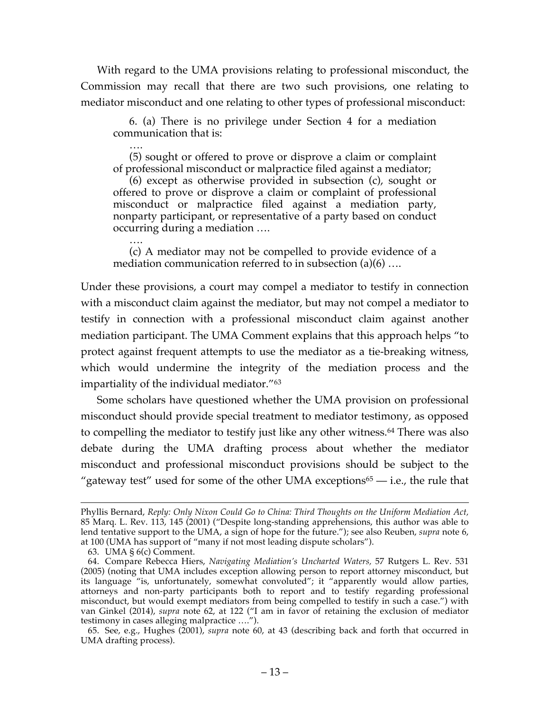With regard to the UMA provisions relating to professional misconduct, the Commission may recall that there are two such provisions, one relating to mediator misconduct and one relating to other types of professional misconduct:

6. (a) There is no privilege under Section 4 for a mediation communication that is:

…. (5) sought or offered to prove or disprove a claim or complaint of professional misconduct or malpractice filed against a mediator;

(6) except as otherwise provided in subsection (c), sought or offered to prove or disprove a claim or complaint of professional misconduct or malpractice filed against a mediation party, nonparty participant, or representative of a party based on conduct occurring during a mediation ….

…. (c) A mediator may not be compelled to provide evidence of a mediation communication referred to in subsection (a)(6) ….

Under these provisions, a court may compel a mediator to testify in connection with a misconduct claim against the mediator, but may not compel a mediator to testify in connection with a professional misconduct claim against another mediation participant. The UMA Comment explains that this approach helps "to protect against frequent attempts to use the mediator as a tie-breaking witness, which would undermine the integrity of the mediation process and the impartiality of the individual mediator."63

Some scholars have questioned whether the UMA provision on professional misconduct should provide special treatment to mediator testimony, as opposed to compelling the mediator to testify just like any other witness.<sup>64</sup> There was also debate during the UMA drafting process about whether the mediator misconduct and professional misconduct provisions should be subject to the "gateway test" used for some of the other UMA exceptions $65 - i.e.,$  the rule that

Phyllis Bernard, *Reply: Only Nixon Could Go to China: Third Thoughts on the Uniform Mediation Act,*  85 Marq. L. Rev. 113, 145 (2001) ("Despite long-standing apprehensions, this author was able to lend tentative support to the UMA, a sign of hope for the future."); see also Reuben, *supra* note 6, at 100 (UMA has support of "many if not most leading dispute scholars").

<sup>63.</sup> UMA § 6(c) Comment.

<sup>64.</sup> Compare Rebecca Hiers, *Navigating Mediation's Uncharted Waters,* 57 Rutgers L. Rev. 531 (2005) (noting that UMA includes exception allowing person to report attorney misconduct, but its language "is, unfortunately, somewhat convoluted"; it "apparently would allow parties, attorneys and non-party participants both to report and to testify regarding professional misconduct, but would exempt mediators from being compelled to testify in such a case.") with van Ginkel (2014), *supra* note 62, at 122 ("I am in favor of retaining the exclusion of mediator testimony in cases alleging malpractice ….").

<sup>65.</sup> See, e.g., Hughes (2001), *supra* note 60, at 43 (describing back and forth that occurred in UMA drafting process).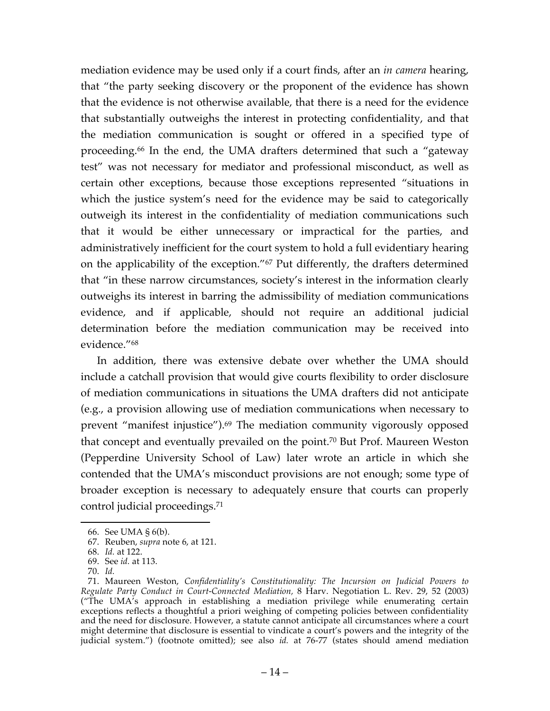mediation evidence may be used only if a court finds, after an *in camera* hearing, that "the party seeking discovery or the proponent of the evidence has shown that the evidence is not otherwise available, that there is a need for the evidence that substantially outweighs the interest in protecting confidentiality, and that the mediation communication is sought or offered in a specified type of proceeding.66 In the end, the UMA drafters determined that such a "gateway test" was not necessary for mediator and professional misconduct, as well as certain other exceptions, because those exceptions represented "situations in which the justice system's need for the evidence may be said to categorically outweigh its interest in the confidentiality of mediation communications such that it would be either unnecessary or impractical for the parties, and administratively inefficient for the court system to hold a full evidentiary hearing on the applicability of the exception."67 Put differently, the drafters determined that "in these narrow circumstances, society's interest in the information clearly outweighs its interest in barring the admissibility of mediation communications evidence, and if applicable, should not require an additional judicial determination before the mediation communication may be received into evidence."68

In addition, there was extensive debate over whether the UMA should include a catchall provision that would give courts flexibility to order disclosure of mediation communications in situations the UMA drafters did not anticipate (e.g., a provision allowing use of mediation communications when necessary to prevent "manifest injustice").69 The mediation community vigorously opposed that concept and eventually prevailed on the point.70 But Prof. Maureen Weston (Pepperdine University School of Law) later wrote an article in which she contended that the UMA's misconduct provisions are not enough; some type of broader exception is necessary to adequately ensure that courts can properly control judicial proceedings. 71

 <sup>66.</sup> See UMA § 6(b).

<sup>67.</sup> Reuben, *supra* note 6, at 121.

<sup>68.</sup> *Id.* at 122.

<sup>69.</sup> See *id.* at 113.

<sup>70.</sup> *Id.*

<sup>71.</sup> Maureen Weston, *Confidentiality's Constitutionality: The Incursion on Judicial Powers to Regulate Party Conduct in Court-Connected Mediation,* 8 Harv. Negotiation L. Rev. 29, 52 (2003) ("The UMA's approach in establishing a mediation privilege while enumerating certain exceptions reflects a thoughtful a priori weighing of competing policies between confidentiality and the need for disclosure. However, a statute cannot anticipate all circumstances where a court might determine that disclosure is essential to vindicate a court's powers and the integrity of the judicial system.") (footnote omitted); see also *id.* at 76-77 (states should amend mediation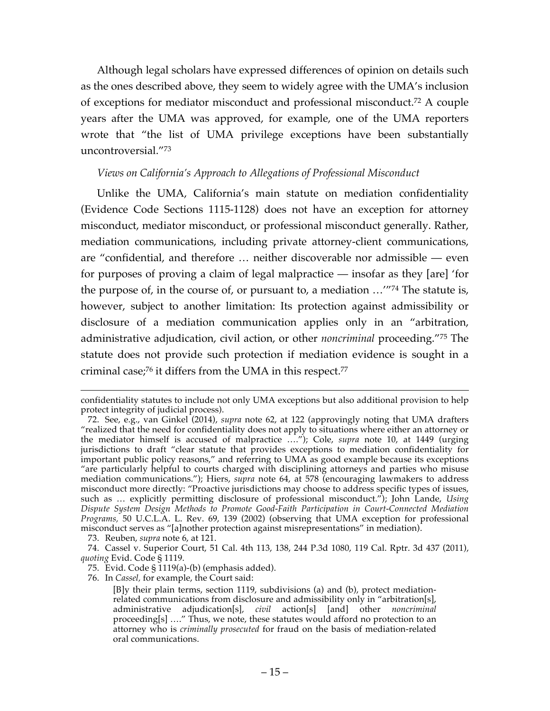Although legal scholars have expressed differences of opinion on details such as the ones described above, they seem to widely agree with the UMA's inclusion of exceptions for mediator misconduct and professional misconduct.72 A couple years after the UMA was approved, for example, one of the UMA reporters wrote that "the list of UMA privilege exceptions have been substantially uncontroversial."73

### *Views on California's Approach to Allegations of Professional Misconduct*

Unlike the UMA, California's main statute on mediation confidentiality (Evidence Code Sections 1115-1128) does not have an exception for attorney misconduct, mediator misconduct, or professional misconduct generally. Rather, mediation communications, including private attorney-client communications, are "confidential, and therefore … neither discoverable nor admissible — even for purposes of proving a claim of legal malpractice — insofar as they [are] 'for the purpose of, in the course of, or pursuant to, a mediation …'"74 The statute is, however, subject to another limitation: Its protection against admissibility or disclosure of a mediation communication applies only in an "arbitration, administrative adjudication, civil action, or other *noncriminal* proceeding."75 The statute does not provide such protection if mediation evidence is sought in a criminal case; <sup>76</sup> it differs from the UMA in this respect. 77

73. Reuben, *supra* note 6, at 121.

confidentiality statutes to include not only UMA exceptions but also additional provision to help protect integrity of judicial process).

<sup>72.</sup> See, e.g., van Ginkel (2014), *supra* note 62, at 122 (approvingly noting that UMA drafters "realized that the need for confidentiality does not apply to situations where either an attorney or the mediator himself is accused of malpractice …."); Cole, *supra* note 10, at 1449 (urging jurisdictions to draft "clear statute that provides exceptions to mediation confidentiality for important public policy reasons," and referring to UMA as good example because its exceptions "are particularly helpful to courts charged with disciplining attorneys and parties who misuse mediation communications."); Hiers, *supra* note 64, at 578 (encouraging lawmakers to address misconduct more directly: "Proactive jurisdictions may choose to address specific types of issues, such as … explicitly permitting disclosure of professional misconduct."); John Lande, *Using Dispute System Design Methods to Promote Good-Faith Participation in Court-Connected Mediation Programs,* 50 U.C.L.A. L. Rev. 69, 139 (2002) (observing that UMA exception for professional misconduct serves as "[a]nother protection against misrepresentations" in mediation).

<sup>74.</sup> Cassel v. Superior Court, 51 Cal. 4th 113, 138, 244 P.3d 1080, 119 Cal. Rptr. 3d 437 (2011), *quoting* Evid. Code § 1119.

<sup>75.</sup> Evid. Code § 1119(a)-(b) (emphasis added).

<sup>76.</sup> In *Cassel,* for example, the Court said:

<sup>[</sup>B]y their plain terms, section 1119, subdivisions (a) and (b), protect mediationrelated communications from disclosure and admissibility only in "arbitration[s], administrative adjudication[s], *civil* action[s] [and] other *noncriminal*  proceeding[s] …." Thus, we note, these statutes would afford no protection to an attorney who is *criminally prosecuted* for fraud on the basis of mediation-related oral communications.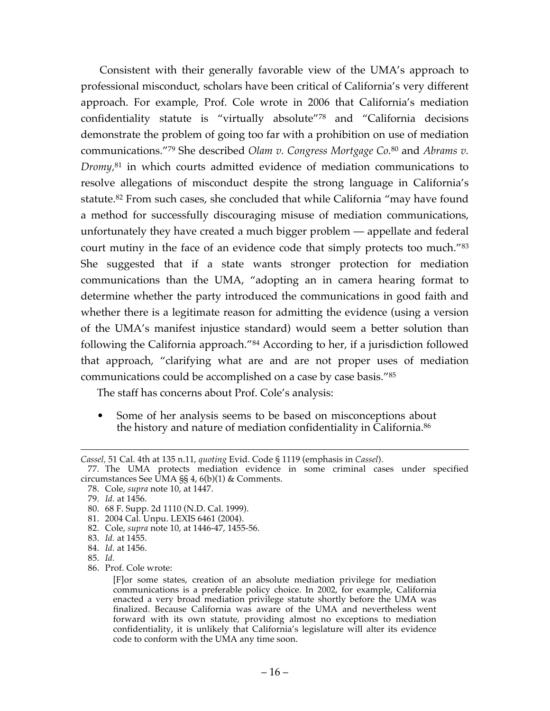Consistent with their generally favorable view of the UMA's approach to professional misconduct, scholars have been critical of California's very different approach. For example, Prof. Cole wrote in 2006 that California's mediation confidentiality statute is "virtually absolute"78 and "California decisions demonstrate the problem of going too far with a prohibition on use of mediation communications."79 She described *Olam v. Congress Mortgage Co.*<sup>80</sup> and *Abrams v. Dromy,*<sup>81</sup> in which courts admitted evidence of mediation communications to resolve allegations of misconduct despite the strong language in California's statute.<sup>82</sup> From such cases, she concluded that while California "may have found a method for successfully discouraging misuse of mediation communications, unfortunately they have created a much bigger problem — appellate and federal court mutiny in the face of an evidence code that simply protects too much."83 She suggested that if a state wants stronger protection for mediation communications than the UMA, "adopting an in camera hearing format to determine whether the party introduced the communications in good faith and whether there is a legitimate reason for admitting the evidence (using a version of the UMA's manifest injustice standard) would seem a better solution than following the California approach."84 According to her, if a jurisdiction followed that approach, "clarifying what are and are not proper uses of mediation communications could be accomplished on a case by case basis."85

The staff has concerns about Prof. Cole's analysis:

• Some of her analysis seems to be based on misconceptions about the history and nature of mediation confidentiality in California.86

 $\overline{a}$ *Cassel,* 51 Cal. 4th at 135 n.11, *quoting* Evid. Code § 1119 (emphasis in *Cassel*).

<sup>77.</sup> The UMA protects mediation evidence in some criminal cases under specified circumstances See UMA §§ 4, 6(b)(1) & Comments.

<sup>78.</sup> Cole, *supra* note 10, at 1447.

<sup>79.</sup> *Id.* at 1456.

<sup>80.</sup> 68 F. Supp. 2d 1110 (N.D. Cal. 1999).

<sup>81.</sup> 2004 Cal. Unpu. LEXIS 6461 (2004).

<sup>82.</sup> Cole, *supra* note 10, at 1446-47, 1455-56.

<sup>83.</sup> *Id.* at 1455.

<sup>84.</sup> *Id.* at 1456.

<sup>85.</sup> *Id.*

<sup>86.</sup> Prof. Cole wrote:

<sup>[</sup>F]or some states, creation of an absolute mediation privilege for mediation communications is a preferable policy choice. In 2002, for example, California enacted a very broad mediation privilege statute shortly before the UMA was finalized. Because California was aware of the UMA and nevertheless went forward with its own statute, providing almost no exceptions to mediation confidentiality, it is unlikely that California's legislature will alter its evidence code to conform with the UMA any time soon.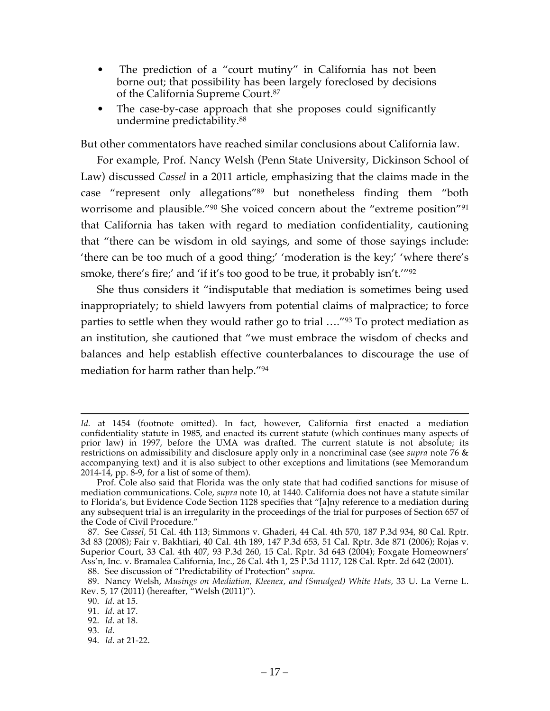- The prediction of a "court mutiny" in California has not been borne out; that possibility has been largely foreclosed by decisions of the California Supreme Court.87
- The case-by-case approach that she proposes could significantly undermine predictability.88

But other commentators have reached similar conclusions about California law.

For example, Prof. Nancy Welsh (Penn State University, Dickinson School of Law) discussed *Cassel* in a 2011 article, emphasizing that the claims made in the case "represent only allegations"89 but nonetheless finding them "both worrisome and plausible."90 She voiced concern about the "extreme position"91 that California has taken with regard to mediation confidentiality, cautioning that "there can be wisdom in old sayings, and some of those sayings include: 'there can be too much of a good thing;' 'moderation is the key;' 'where there's smoke, there's fire;' and 'if it's too good to be true, it probably isn't.'"92

She thus considers it "indisputable that mediation is sometimes being used inappropriately; to shield lawyers from potential claims of malpractice; to force parties to settle when they would rather go to trial …."93 To protect mediation as an institution, she cautioned that "we must embrace the wisdom of checks and balances and help establish effective counterbalances to discourage the use of mediation for harm rather than help."94

88. See discussion of "Predictability of Protection" *supra*.

93. *Id.*

 $\overline{a}$ *Id.* at 1454 (footnote omitted). In fact, however, California first enacted a mediation confidentiality statute in 1985, and enacted its current statute (which continues many aspects of prior law) in 1997, before the UMA was drafted. The current statute is not absolute; its restrictions on admissibility and disclosure apply only in a noncriminal case (see *supra* note 76 & accompanying text) and it is also subject to other exceptions and limitations (see Memorandum  $2014-14$ , pp. 8-9, for a list of some of them).

Prof. Cole also said that Florida was the only state that had codified sanctions for misuse of mediation communications. Cole, *supra* note 10, at 1440. California does not have a statute similar to Florida's, but Evidence Code Section 1128 specifies that "[a]ny reference to a mediation during any subsequent trial is an irregularity in the proceedings of the trial for purposes of Section 657 of the Code of Civil Procedure."

<sup>87.</sup> See *Cassel*, 51 Cal. 4th 113; Simmons v. Ghaderi, 44 Cal. 4th 570, 187 P.3d 934, 80 Cal. Rptr. 3d 83 (2008); Fair v. Bakhtiari, 40 Cal. 4th 189, 147 P.3d 653, 51 Cal. Rptr. 3de 871 (2006); Rojas v. Superior Court, 33 Cal. 4th 407, 93 P.3d 260, 15 Cal. Rptr. 3d 643 (2004); Foxgate Homeowners' Ass'n, Inc. v. Bramalea California, Inc., 26 Cal. 4th 1, 25 P.3d 1117, 128 Cal. Rptr. 2d 642 (2001).

<sup>89.</sup> Nancy Welsh, *Musings on Mediation, Kleenex, and (Smudged) White Hats,* 33 U. La Verne L. Rev. 5, 17 (2011) (hereafter, "Welsh (2011)").

<sup>90.</sup> *Id.* at 15.

<sup>91.</sup> *Id.* at 17.

<sup>92.</sup> *Id.* at 18.

<sup>94.</sup> *Id.* at 21-22.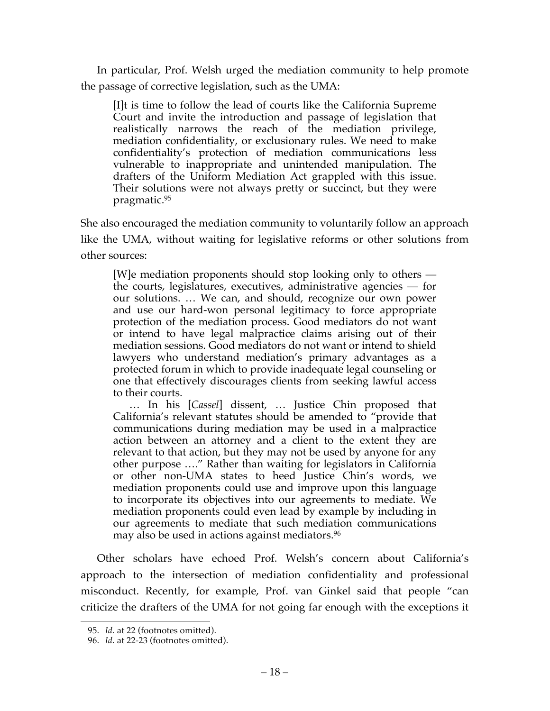In particular, Prof. Welsh urged the mediation community to help promote the passage of corrective legislation, such as the UMA:

[I]t is time to follow the lead of courts like the California Supreme Court and invite the introduction and passage of legislation that realistically narrows the reach of the mediation privilege, mediation confidentiality, or exclusionary rules. We need to make confidentiality's protection of mediation communications less vulnerable to inappropriate and unintended manipulation. The drafters of the Uniform Mediation Act grappled with this issue. Their solutions were not always pretty or succinct, but they were pragmatic.95

She also encouraged the mediation community to voluntarily follow an approach like the UMA, without waiting for legislative reforms or other solutions from other sources:

[W]e mediation proponents should stop looking only to others the courts, legislatures, executives, administrative agencies — for our solutions. … We can, and should, recognize our own power and use our hard-won personal legitimacy to force appropriate protection of the mediation process. Good mediators do not want or intend to have legal malpractice claims arising out of their mediation sessions. Good mediators do not want or intend to shield lawyers who understand mediation's primary advantages as a protected forum in which to provide inadequate legal counseling or one that effectively discourages clients from seeking lawful access to their courts.

… In his [*Cassel*] dissent, … Justice Chin proposed that California's relevant statutes should be amended to "provide that communications during mediation may be used in a malpractice action between an attorney and a client to the extent they are relevant to that action, but they may not be used by anyone for any other purpose …." Rather than waiting for legislators in California or other non-UMA states to heed Justice Chin's words, we mediation proponents could use and improve upon this language to incorporate its objectives into our agreements to mediate. We mediation proponents could even lead by example by including in our agreements to mediate that such mediation communications may also be used in actions against mediators.<sup>96</sup>

Other scholars have echoed Prof. Welsh's concern about California's approach to the intersection of mediation confidentiality and professional misconduct. Recently, for example, Prof. van Ginkel said that people "can criticize the drafters of the UMA for not going far enough with the exceptions it

 <sup>95.</sup> *Id.* at 22 (footnotes omitted).

<sup>96.</sup> *Id.* at 22-23 (footnotes omitted).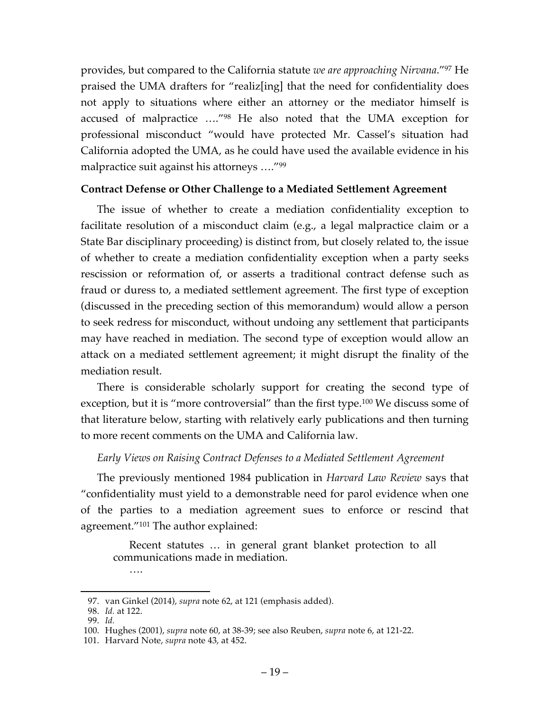provides, but compared to the California statute *we are approaching Nirvana*."97 He praised the UMA drafters for "realiz[ing] that the need for confidentiality does not apply to situations where either an attorney or the mediator himself is accused of malpractice …."98 He also noted that the UMA exception for professional misconduct "would have protected Mr. Cassel's situation had California adopted the UMA, as he could have used the available evidence in his malpractice suit against his attorneys ...."<sup>99</sup>

### **Contract Defense or Other Challenge to a Mediated Settlement Agreement**

The issue of whether to create a mediation confidentiality exception to facilitate resolution of a misconduct claim (e.g., a legal malpractice claim or a State Bar disciplinary proceeding) is distinct from, but closely related to, the issue of whether to create a mediation confidentiality exception when a party seeks rescission or reformation of, or asserts a traditional contract defense such as fraud or duress to, a mediated settlement agreement. The first type of exception (discussed in the preceding section of this memorandum) would allow a person to seek redress for misconduct, without undoing any settlement that participants may have reached in mediation. The second type of exception would allow an attack on a mediated settlement agreement; it might disrupt the finality of the mediation result.

There is considerable scholarly support for creating the second type of exception, but it is "more controversial" than the first type. <sup>100</sup> We discuss some of that literature below, starting with relatively early publications and then turning to more recent comments on the UMA and California law.

### *Early Views on Raising Contract Defenses to a Mediated Settlement Agreement*

The previously mentioned 1984 publication in *Harvard Law Review* says that "confidentiality must yield to a demonstrable need for parol evidence when one of the parties to a mediation agreement sues to enforce or rescind that agreement."101 The author explained:

Recent statutes … in general grant blanket protection to all communications made in mediation.

<sup>….</sup>

 <sup>97.</sup> van Ginkel (2014), *supra* note 62, at 121 (emphasis added).

<sup>98.</sup> *Id.* at 122.

<sup>99.</sup> *Id.*

<sup>100.</sup> Hughes (2001), *supra* note 60, at 38-39; see also Reuben, *supra* note 6, at 121-22.

<sup>101.</sup> Harvard Note, *supra* note 43, at 452.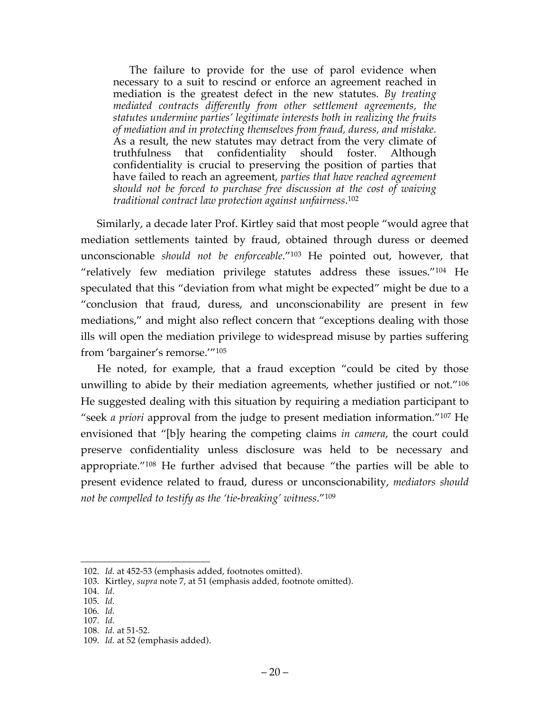The failure to provide for the use of parol evidence when necessary to a suit to rescind or enforce an agreement reached in mediation is the greatest defect in the new statutes. *By treating mediated contracts differently from other settlement agreements, the statutes undermine parties' legitimate interests both in realizing the fruits of mediation and in protecting themselves from fraud, duress, and mistake.* As a result, the new statutes may detract from the very climate of truthfulness that confidentiality should foster. Although confidentiality is crucial to preserving the position of parties that have failed to reach an agreement, *parties that have reached agreement should not be forced to purchase free discussion at the cost of waiving traditional contract law protection against unfairness*. 102

Similarly, a decade later Prof. Kirtley said that most people "would agree that mediation settlements tainted by fraud, obtained through duress or deemed unconscionable *should not be enforceable*."103 He pointed out, however, that "relatively few mediation privilege statutes address these issues."104 He speculated that this "deviation from what might be expected" might be due to a "conclusion that fraud, duress, and unconscionability are present in few mediations," and might also reflect concern that "exceptions dealing with those ills will open the mediation privilege to widespread misuse by parties suffering from 'bargainer's remorse.'"105

He noted, for example, that a fraud exception "could be cited by those unwilling to abide by their mediation agreements, whether justified or not."106 He suggested dealing with this situation by requiring a mediation participant to "seek *a priori* approval from the judge to present mediation information."107 He envisioned that "[b]y hearing the competing claims *in camera*, the court could preserve confidentiality unless disclosure was held to be necessary and appropriate."108 He further advised that because "the parties will be able to present evidence related to fraud, duress or unconscionability, *mediators should not be compelled to testify as the 'tie-breaking' witness*."109

 <sup>102.</sup> *Id.* at 452-53 (emphasis added, footnotes omitted).

<sup>103.</sup> Kirtley, *supra* note 7, at 51 (emphasis added, footnote omitted).

<sup>104.</sup> *Id.*

<sup>105.</sup> *Id.*

<sup>106.</sup> *Id.*

<sup>107.</sup> *Id.*

<sup>108.</sup> *Id.* at 51-52.

<sup>109.</sup> *Id.* at 52 (emphasis added).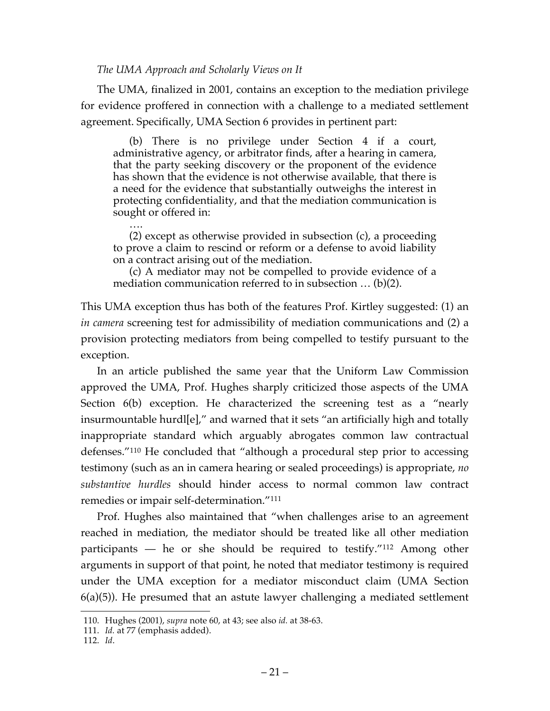#### *The UMA Approach and Scholarly Views on It*

The UMA, finalized in 2001, contains an exception to the mediation privilege for evidence proffered in connection with a challenge to a mediated settlement agreement. Specifically, UMA Section 6 provides in pertinent part:

(b) There is no privilege under Section 4 if a court, administrative agency, or arbitrator finds, after a hearing in camera, that the party seeking discovery or the proponent of the evidence has shown that the evidence is not otherwise available, that there is a need for the evidence that substantially outweighs the interest in protecting confidentiality, and that the mediation communication is sought or offered in:

…. (2) except as otherwise provided in subsection (c), a proceeding to prove a claim to rescind or reform or a defense to avoid liability on a contract arising out of the mediation.

(c) A mediator may not be compelled to provide evidence of a mediation communication referred to in subsection … (b)(2).

This UMA exception thus has both of the features Prof. Kirtley suggested: (1) an *in camera* screening test for admissibility of mediation communications and (2) a provision protecting mediators from being compelled to testify pursuant to the exception.

In an article published the same year that the Uniform Law Commission approved the UMA, Prof. Hughes sharply criticized those aspects of the UMA Section 6(b) exception. He characterized the screening test as a "nearly insurmountable hurdl[e]," and warned that it sets "an artificially high and totally inappropriate standard which arguably abrogates common law contractual defenses."110 He concluded that "although a procedural step prior to accessing testimony (such as an in camera hearing or sealed proceedings) is appropriate, *no substantive hurdles* should hinder access to normal common law contract remedies or impair self-determination."111

Prof. Hughes also maintained that "when challenges arise to an agreement reached in mediation, the mediator should be treated like all other mediation participants — he or she should be required to testify."112 Among other arguments in support of that point, he noted that mediator testimony is required under the UMA exception for a mediator misconduct claim (UMA Section 6(a)(5)). He presumed that an astute lawyer challenging a mediated settlement

 <sup>110.</sup> Hughes (2001), *supra* note 60, at 43; see also *id.* at 38-63.

<sup>111.</sup> *Id.* at 77 (emphasis added).

<sup>112.</sup> *Id*.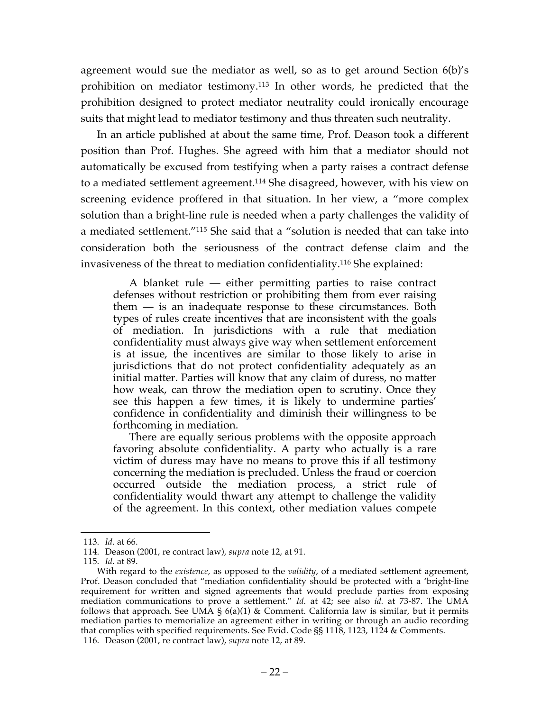agreement would sue the mediator as well, so as to get around Section 6(b)'s prohibition on mediator testimony.113 In other words, he predicted that the prohibition designed to protect mediator neutrality could ironically encourage suits that might lead to mediator testimony and thus threaten such neutrality.

In an article published at about the same time, Prof. Deason took a different position than Prof. Hughes. She agreed with him that a mediator should not automatically be excused from testifying when a party raises a contract defense to a mediated settlement agreement.114 She disagreed, however, with his view on screening evidence proffered in that situation. In her view, a "more complex solution than a bright-line rule is needed when a party challenges the validity of a mediated settlement."115 She said that a "solution is needed that can take into consideration both the seriousness of the contract defense claim and the invasiveness of the threat to mediation confidentiality.116 She explained:

A blanket rule — either permitting parties to raise contract defenses without restriction or prohibiting them from ever raising them — is an inadequate response to these circumstances. Both types of rules create incentives that are inconsistent with the goals of mediation. In jurisdictions with a rule that mediation confidentiality must always give way when settlement enforcement is at issue, the incentives are similar to those likely to arise in jurisdictions that do not protect confidentiality adequately as an initial matter. Parties will know that any claim of duress, no matter how weak, can throw the mediation open to scrutiny. Once they see this happen a few times, it is likely to undermine parties' confidence in confidentiality and diminish their willingness to be forthcoming in mediation.

There are equally serious problems with the opposite approach favoring absolute confidentiality. A party who actually is a rare victim of duress may have no means to prove this if all testimony concerning the mediation is precluded. Unless the fraud or coercion occurred outside the mediation process, a strict rule of confidentiality would thwart any attempt to challenge the validity of the agreement. In this context, other mediation values compete

 <sup>113.</sup> *Id*. at 66.

<sup>114.</sup> Deason (2001, re contract law), *supra* note 12, at 91.

<sup>115.</sup> *Id.* at 89.

With regard to the *existence,* as opposed to the *validity*, of a mediated settlement agreement, Prof. Deason concluded that "mediation confidentiality should be protected with a 'bright-line requirement for written and signed agreements that would preclude parties from exposing mediation communications to prove a settlement." *Id.* at 42; see also *id.* at 73-87. The UMA follows that approach. See UMA § 6(a)(1) & Comment. California law is similar, but it permits mediation parties to memorialize an agreement either in writing or through an audio recording mediation parties to memorialize an agreement either in writing or through an audio recording that complies with specified requirements. See Evid. Code §§ 1118, 1123, 1124 & Comments. 116. Deason (2001, re contract law), *supra* note 12, at 89.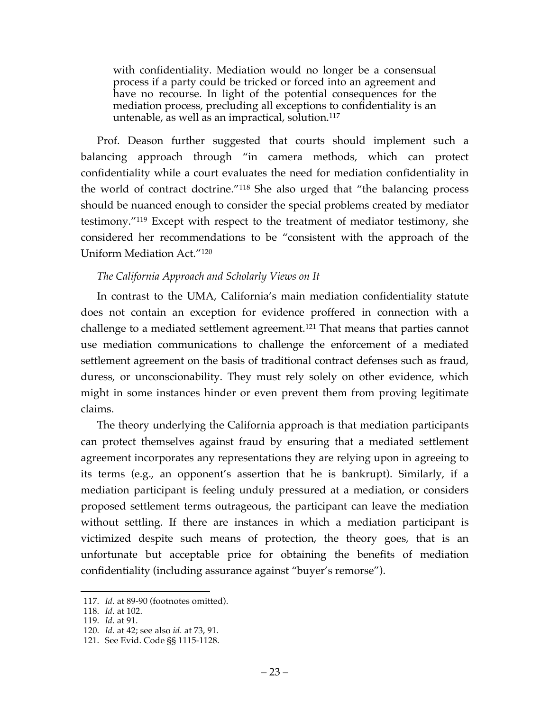with confidentiality. Mediation would no longer be a consensual process if a party could be tricked or forced into an agreement and have no recourse. In light of the potential consequences for the mediation process, precluding all exceptions to confidentiality is an untenable, as well as an impractical, solution.117

Prof. Deason further suggested that courts should implement such a balancing approach through "in camera methods, which can protect confidentiality while a court evaluates the need for mediation confidentiality in the world of contract doctrine."118 She also urged that "the balancing process should be nuanced enough to consider the special problems created by mediator testimony."119 Except with respect to the treatment of mediator testimony, she considered her recommendations to be "consistent with the approach of the Uniform Mediation Act."120

### *The California Approach and Scholarly Views on It*

In contrast to the UMA, California's main mediation confidentiality statute does not contain an exception for evidence proffered in connection with a challenge to a mediated settlement agreement.121 That means that parties cannot use mediation communications to challenge the enforcement of a mediated settlement agreement on the basis of traditional contract defenses such as fraud, duress, or unconscionability. They must rely solely on other evidence, which might in some instances hinder or even prevent them from proving legitimate claims.

The theory underlying the California approach is that mediation participants can protect themselves against fraud by ensuring that a mediated settlement agreement incorporates any representations they are relying upon in agreeing to its terms (e.g., an opponent's assertion that he is bankrupt). Similarly, if a mediation participant is feeling unduly pressured at a mediation, or considers proposed settlement terms outrageous, the participant can leave the mediation without settling. If there are instances in which a mediation participant is victimized despite such means of protection, the theory goes, that is an unfortunate but acceptable price for obtaining the benefits of mediation confidentiality (including assurance against "buyer's remorse").

 <sup>117.</sup> *Id.* at 89-90 (footnotes omitted).

<sup>118.</sup> *Id*. at 102.

<sup>119.</sup> *Id*. at 91.

<sup>120.</sup> *Id*. at 42; see also *id.* at 73, 91.

<sup>121.</sup> See Evid. Code §§ 1115-1128.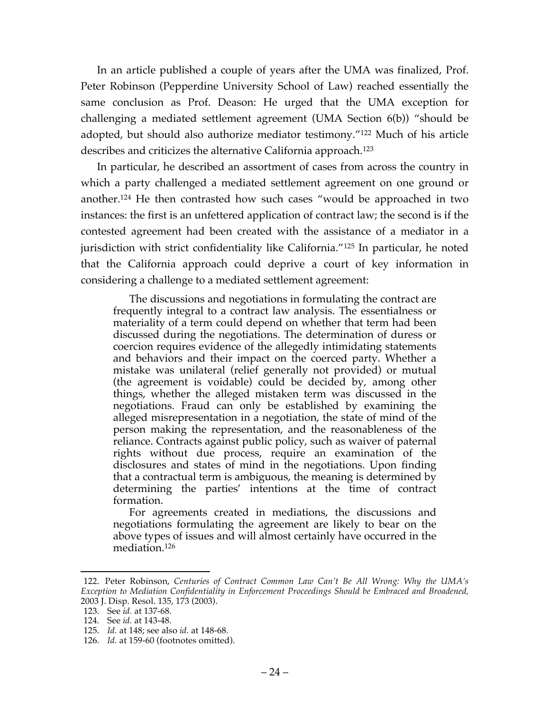In an article published a couple of years after the UMA was finalized, Prof. Peter Robinson (Pepperdine University School of Law) reached essentially the same conclusion as Prof. Deason: He urged that the UMA exception for challenging a mediated settlement agreement (UMA Section 6(b)) "should be adopted, but should also authorize mediator testimony."122 Much of his article describes and criticizes the alternative California approach.123

In particular, he described an assortment of cases from across the country in which a party challenged a mediated settlement agreement on one ground or another.124 He then contrasted how such cases "would be approached in two instances: the first is an unfettered application of contract law; the second is if the contested agreement had been created with the assistance of a mediator in a jurisdiction with strict confidentiality like California."125 In particular, he noted that the California approach could deprive a court of key information in considering a challenge to a mediated settlement agreement:

The discussions and negotiations in formulating the contract are frequently integral to a contract law analysis. The essentialness or materiality of a term could depend on whether that term had been discussed during the negotiations. The determination of duress or coercion requires evidence of the allegedly intimidating statements and behaviors and their impact on the coerced party. Whether a mistake was unilateral (relief generally not provided) or mutual (the agreement is voidable) could be decided by, among other things, whether the alleged mistaken term was discussed in the negotiations. Fraud can only be established by examining the alleged misrepresentation in a negotiation, the state of mind of the person making the representation, and the reasonableness of the reliance. Contracts against public policy, such as waiver of paternal rights without due process, require an examination of the disclosures and states of mind in the negotiations. Upon finding that a contractual term is ambiguous, the meaning is determined by determining the parties' intentions at the time of contract formation.

For agreements created in mediations, the discussions and negotiations formulating the agreement are likely to bear on the above types of issues and will almost certainly have occurred in the mediation.126

 <sup>122.</sup> Peter Robinson, *Centuries of Contract Common Law Can't Be All Wrong: Why the UMA's Exception to Mediation Confidentiality in Enforcement Proceedings Should be Embraced and Broadened,* 2003 J. Disp. Resol. 135, 173 (2003).

<sup>123.</sup> See *id.* at 137-68.

<sup>124.</sup> See *id.* at 143-48.

<sup>125.</sup> *Id.* at 148; see also *id.* at 148-68.

<sup>126.</sup> *Id.* at 159-60 (footnotes omitted).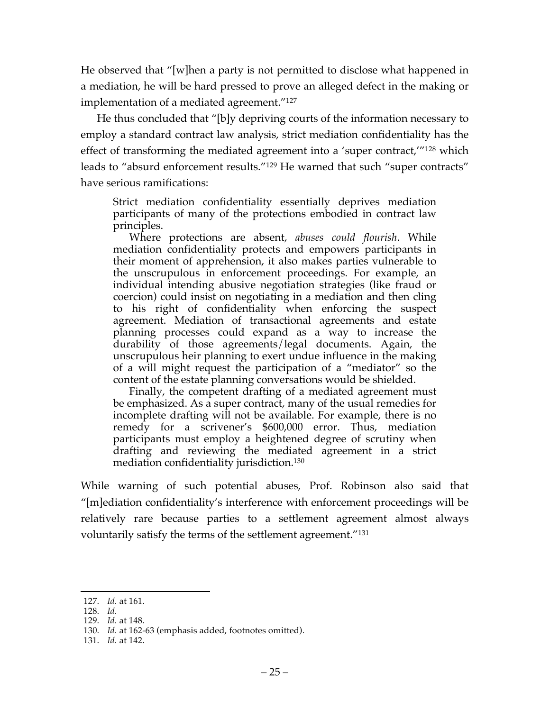He observed that "[w]hen a party is not permitted to disclose what happened in a mediation, he will be hard pressed to prove an alleged defect in the making or implementation of a mediated agreement."127

He thus concluded that "[b]y depriving courts of the information necessary to employ a standard contract law analysis, strict mediation confidentiality has the effect of transforming the mediated agreement into a 'super contract,'"<sup>128</sup> which leads to "absurd enforcement results."129 He warned that such "super contracts" have serious ramifications:

Strict mediation confidentiality essentially deprives mediation participants of many of the protections embodied in contract law principles.

Where protections are absent, *abuses could flourish*. While mediation confidentiality protects and empowers participants in their moment of apprehension, it also makes parties vulnerable to the unscrupulous in enforcement proceedings. For example, an individual intending abusive negotiation strategies (like fraud or coercion) could insist on negotiating in a mediation and then cling to his right of confidentiality when enforcing the suspect agreement. Mediation of transactional agreements and estate planning processes could expand as a way to increase the durability of those agreements/legal documents. Again, the unscrupulous heir planning to exert undue influence in the making of a will might request the participation of a "mediator" so the content of the estate planning conversations would be shielded.

Finally, the competent drafting of a mediated agreement must be emphasized. As a super contract, many of the usual remedies for incomplete drafting will not be available. For example, there is no remedy for a scrivener's \$600,000 error. Thus, mediation participants must employ a heightened degree of scrutiny when drafting and reviewing the mediated agreement in a strict mediation confidentiality jurisdiction.130

While warning of such potential abuses, Prof. Robinson also said that "[m]ediation confidentiality's interference with enforcement proceedings will be relatively rare because parties to a settlement agreement almost always voluntarily satisfy the terms of the settlement agreement."131

 <sup>127.</sup> *Id.* at 161.

<sup>128.</sup> *Id.*

<sup>129.</sup> *Id.* at 148.

<sup>130.</sup> *Id.* at 162-63 (emphasis added, footnotes omitted).

<sup>131.</sup> *Id.* at 142.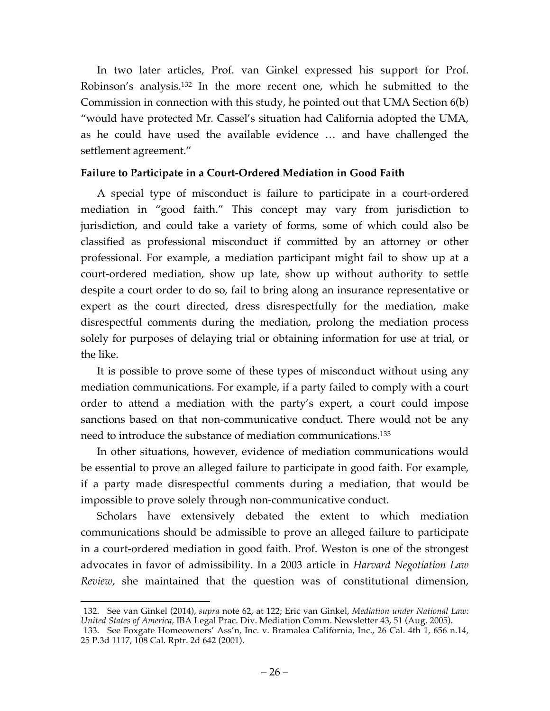In two later articles, Prof. van Ginkel expressed his support for Prof. Robinson's analysis.132 In the more recent one, which he submitted to the Commission in connection with this study, he pointed out that UMA Section 6(b) "would have protected Mr. Cassel's situation had California adopted the UMA, as he could have used the available evidence … and have challenged the settlement agreement."

### **Failure to Participate in a Court-Ordered Mediation in Good Faith**

A special type of misconduct is failure to participate in a court-ordered mediation in "good faith." This concept may vary from jurisdiction to jurisdiction, and could take a variety of forms, some of which could also be classified as professional misconduct if committed by an attorney or other professional. For example, a mediation participant might fail to show up at a court-ordered mediation, show up late, show up without authority to settle despite a court order to do so, fail to bring along an insurance representative or expert as the court directed, dress disrespectfully for the mediation, make disrespectful comments during the mediation, prolong the mediation process solely for purposes of delaying trial or obtaining information for use at trial, or the like.

It is possible to prove some of these types of misconduct without using any mediation communications. For example, if a party failed to comply with a court order to attend a mediation with the party's expert, a court could impose sanctions based on that non-communicative conduct. There would not be any need to introduce the substance of mediation communications.133

In other situations, however, evidence of mediation communications would be essential to prove an alleged failure to participate in good faith. For example, if a party made disrespectful comments during a mediation, that would be impossible to prove solely through non-communicative conduct.

Scholars have extensively debated the extent to which mediation communications should be admissible to prove an alleged failure to participate in a court-ordered mediation in good faith. Prof. Weston is one of the strongest advocates in favor of admissibility. In a 2003 article in *Harvard Negotiation Law Review,* she maintained that the question was of constitutional dimension,

 <sup>132.</sup> See van Ginkel (2014), *supra* note 62, at 122; Eric van Ginkel, *Mediation under National Law: United States of America,* IBA Legal Prac. Div. Mediation Comm. Newsletter 43, 51 (Aug. 2005). 133. See Foxgate Homeowners' Ass'n, Inc. v. Bramalea California, Inc., 26 Cal. 4th 1, 656 n.14, 25 P.3d 1117, 108 Cal. Rptr. 2d 642 (2001).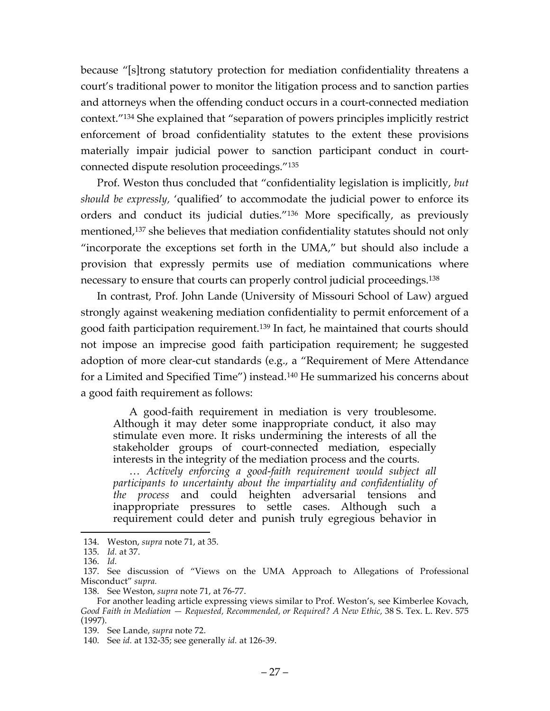because "[s]trong statutory protection for mediation confidentiality threatens a court's traditional power to monitor the litigation process and to sanction parties and attorneys when the offending conduct occurs in a court-connected mediation context."134 She explained that "separation of powers principles implicitly restrict enforcement of broad confidentiality statutes to the extent these provisions materially impair judicial power to sanction participant conduct in courtconnected dispute resolution proceedings."135

Prof. Weston thus concluded that "confidentiality legislation is implicitly, *but should be expressly,* 'qualified' to accommodate the judicial power to enforce its orders and conduct its judicial duties."136 More specifically, as previously mentioned,<sup>137</sup> she believes that mediation confidentiality statutes should not only "incorporate the exceptions set forth in the UMA," but should also include a provision that expressly permits use of mediation communications where necessary to ensure that courts can properly control judicial proceedings.138

In contrast, Prof. John Lande (University of Missouri School of Law) argued strongly against weakening mediation confidentiality to permit enforcement of a good faith participation requirement.139 In fact, he maintained that courts should not impose an imprecise good faith participation requirement; he suggested adoption of more clear-cut standards (e.g., a "Requirement of Mere Attendance for a Limited and Specified Time") instead.140 He summarized his concerns about a good faith requirement as follows:

A good-faith requirement in mediation is very troublesome. Although it may deter some inappropriate conduct, it also may stimulate even more. It risks undermining the interests of all the stakeholder groups of court-connected mediation, especially interests in the integrity of the mediation process and the courts.

… *Actively enforcing a good-faith requirement would subject all participants to uncertainty about the impartiality and confidentiality of*  the process and could heighten adversarial tensions and inappropriate pressures to settle cases. Although such a requirement could deter and punish truly egregious behavior in

 <sup>134.</sup> Weston, *supra* note 71, at 35.

<sup>135.</sup> *Id.* at 37.

<sup>136.</sup> *Id.*

<sup>137.</sup> See discussion of "Views on the UMA Approach to Allegations of Professional Misconduct" *supra.*

<sup>138.</sup> See Weston, *supra* note 71, at 76-77.

For another leading article expressing views similar to Prof. Weston's, see Kimberlee Kovach, *Good Faith in Mediation — Requested, Recommended, or Required? A New Ethic,* 38 S. Tex. L. Rev. 575 (1997).

<sup>139.</sup> See Lande, *supra* note 72.

<sup>140.</sup> See *id.* at 132-35; see generally *id.* at 126-39.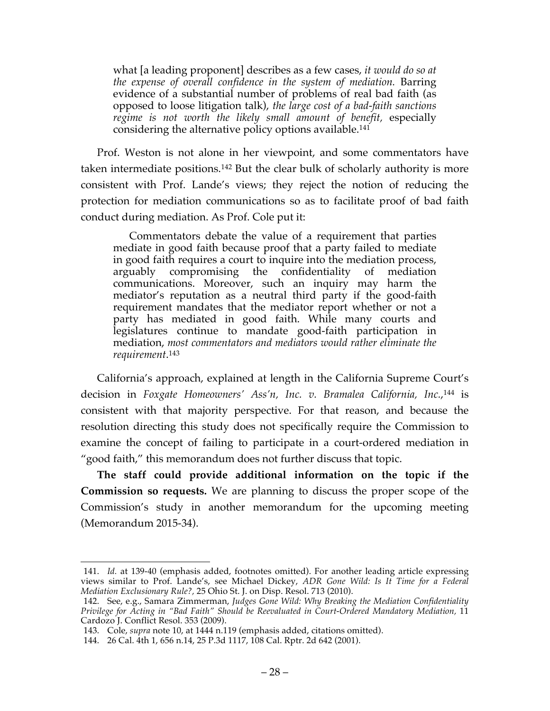what [a leading proponent] describes as a few cases, *it would do so at the expense of overall confidence in the system of mediation.* Barring evidence of a substantial number of problems of real bad faith (as opposed to loose litigation talk), *the large cost of a bad-faith sanctions regime is not worth the likely small amount of benefit,* especially considering the alternative policy options available.<sup>141</sup>

Prof. Weston is not alone in her viewpoint, and some commentators have taken intermediate positions.142 But the clear bulk of scholarly authority is more consistent with Prof. Lande's views; they reject the notion of reducing the protection for mediation communications so as to facilitate proof of bad faith conduct during mediation. As Prof. Cole put it:

Commentators debate the value of a requirement that parties mediate in good faith because proof that a party failed to mediate in good faith requires a court to inquire into the mediation process, arguably compromising the confidentiality of mediation communications. Moreover, such an inquiry may harm the mediator's reputation as a neutral third party if the good-faith requirement mandates that the mediator report whether or not a party has mediated in good faith. While many courts and legislatures continue to mandate good-faith participation in mediation, *most commentators and mediators would rather eliminate the requirement*. 143

California's approach, explained at length in the California Supreme Court's decision in *Foxgate Homeowners' Ass'n, Inc. v. Bramalea California, Inc.*, <sup>144</sup> is consistent with that majority perspective. For that reason, and because the resolution directing this study does not specifically require the Commission to examine the concept of failing to participate in a court-ordered mediation in "good faith," this memorandum does not further discuss that topic.

**The staff could provide additional information on the topic if the Commission so requests.** We are planning to discuss the proper scope of the Commission's study in another memorandum for the upcoming meeting (Memorandum 2015-34).

 <sup>141.</sup> *Id.* at 139-40 (emphasis added, footnotes omitted). For another leading article expressing views similar to Prof. Lande's, see Michael Dickey, *ADR Gone Wild: Is It Time for a Federal Mediation Exclusionary Rule?,* 25 Ohio St. J. on Disp. Resol. 713 (2010).

<sup>142.</sup> See, e.g., Samara Zimmerman, *Judges Gone Wild: Why Breaking the Mediation Confidentiality Privilege for Acting in "Bad Faith" Should be Reevaluated in Court-Ordered Mandatory Mediation,* 11 Cardozo J. Conflict Resol. 353 (2009).

<sup>143.</sup> Cole, *supra* note 10, at 1444 n.119 (emphasis added, citations omitted).

<sup>144.</sup> 26 Cal. 4th 1, 656 n.14, 25 P.3d 1117, 108 Cal. Rptr. 2d 642 (2001).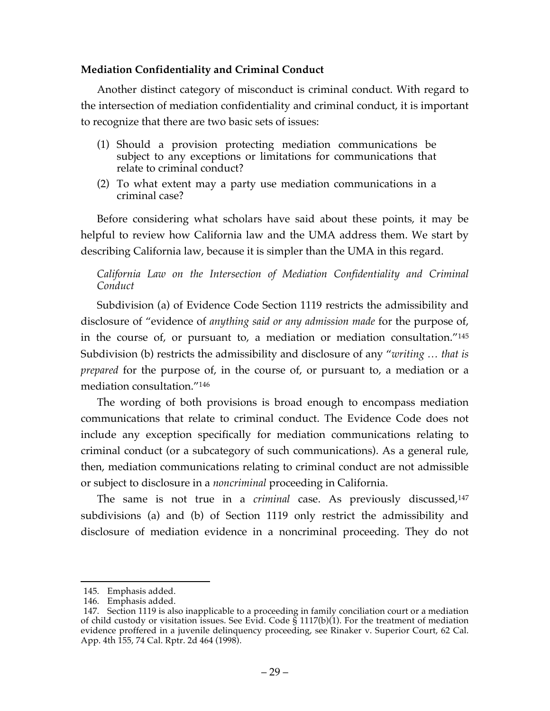### **Mediation Confidentiality and Criminal Conduct**

Another distinct category of misconduct is criminal conduct. With regard to the intersection of mediation confidentiality and criminal conduct, it is important to recognize that there are two basic sets of issues:

- (1) Should a provision protecting mediation communications be subject to any exceptions or limitations for communications that relate to criminal conduct?
- (2) To what extent may a party use mediation communications in a criminal case?

Before considering what scholars have said about these points, it may be helpful to review how California law and the UMA address them. We start by describing California law, because it is simpler than the UMA in this regard.

*California Law on the Intersection of Mediation Confidentiality and Criminal Conduct*

Subdivision (a) of Evidence Code Section 1119 restricts the admissibility and disclosure of "evidence of *anything said or any admission made* for the purpose of, in the course of, or pursuant to, a mediation or mediation consultation."145 Subdivision (b) restricts the admissibility and disclosure of any "*writing … that is prepared* for the purpose of, in the course of, or pursuant to, a mediation or a mediation consultation."146

The wording of both provisions is broad enough to encompass mediation communications that relate to criminal conduct. The Evidence Code does not include any exception specifically for mediation communications relating to criminal conduct (or a subcategory of such communications). As a general rule, then, mediation communications relating to criminal conduct are not admissible or subject to disclosure in a *noncriminal* proceeding in California.

The same is not true in a *criminal* case. As previously discussed,<sup>147</sup> subdivisions (a) and (b) of Section 1119 only restrict the admissibility and disclosure of mediation evidence in a noncriminal proceeding. They do not

 <sup>145.</sup> Emphasis added.

<sup>146.</sup> Emphasis added.

<sup>147.</sup> Section 1119 is also inapplicable to a proceeding in family conciliation court or a mediation of child custody or visitation issues. See Evid. Code § 1117(b)(1). For the treatment of mediation evidence proffered in a juvenile delinquency proceeding, see Rinaker v. Superior Court, 62 Cal. App. 4th 155, 74 Cal. Rptr. 2d 464 (1998).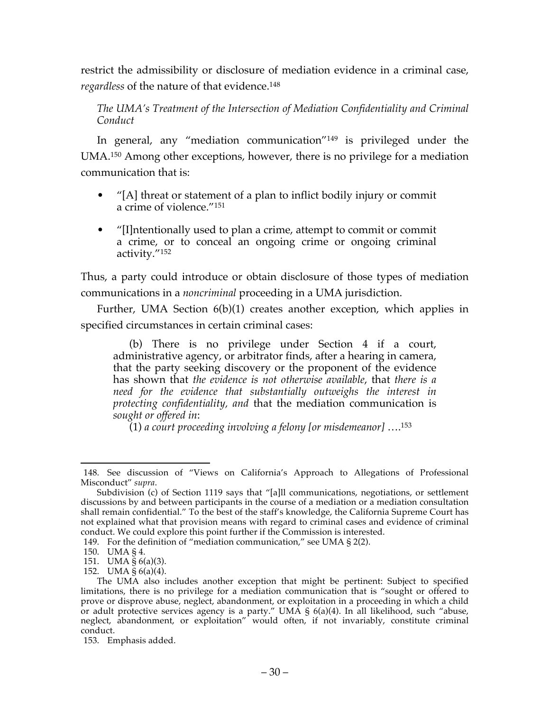restrict the admissibility or disclosure of mediation evidence in a criminal case, *regardless* of the nature of that evidence.148

*The UMA's Treatment of the Intersection of Mediation Confidentiality and Criminal Conduct*

In general, any "mediation communication"149 is privileged under the UMA. <sup>150</sup> Among other exceptions, however, there is no privilege for a mediation communication that is:

- "[A] threat or statement of a plan to inflict bodily injury or commit a crime of violence."151
- "[I]ntentionally used to plan a crime, attempt to commit or commit a crime, or to conceal an ongoing crime or ongoing criminal activity."152

Thus, a party could introduce or obtain disclosure of those types of mediation communications in a *noncriminal* proceeding in a UMA jurisdiction.

Further, UMA Section 6(b)(1) creates another exception, which applies in specified circumstances in certain criminal cases:

(b) There is no privilege under Section 4 if a court, administrative agency, or arbitrator finds, after a hearing in camera, that the party seeking discovery or the proponent of the evidence has shown that *the evidence is not otherwise available*, that *there is a need for the evidence that substantially outweighs the interest in protecting confidentiality, and* that the mediation communication is *sought or offered in*:

(1) *a court proceeding involving a felony [or misdemeanor]* ….153

 <sup>148.</sup> See discussion of "Views on California's Approach to Allegations of Professional Misconduct" *supra*.

Subdivision (c) of Section 1119 says that "[a]ll communications, negotiations, or settlement discussions by and between participants in the course of a mediation or a mediation consultation shall remain confidential." To the best of the staff's knowledge, the California Supreme Court has not explained what that provision means with regard to criminal cases and evidence of criminal conduct. We could explore this point further if the Commission is interested.

<sup>149.</sup> For the definition of "mediation communication," see UMA § 2(2).

<sup>150.</sup> UMA § 4.

<sup>151.</sup> UMA § 6(a)(3).

<sup>152.</sup> UMA § 6(a)(4).

The UMA also includes another exception that might be pertinent: Subject to specified limitations, there is no privilege for a mediation communication that is "sought or offered to prove or disprove abuse, neglect, abandonment, or exploitation in a proceeding in which a child or adult protective services agency is a party." UMA § 6(a)(4). In all likelihood, such "abuse, neglect, abandonment, or exploitation" would often, if not invariably, constitute criminal conduct.

<sup>153.</sup> Emphasis added.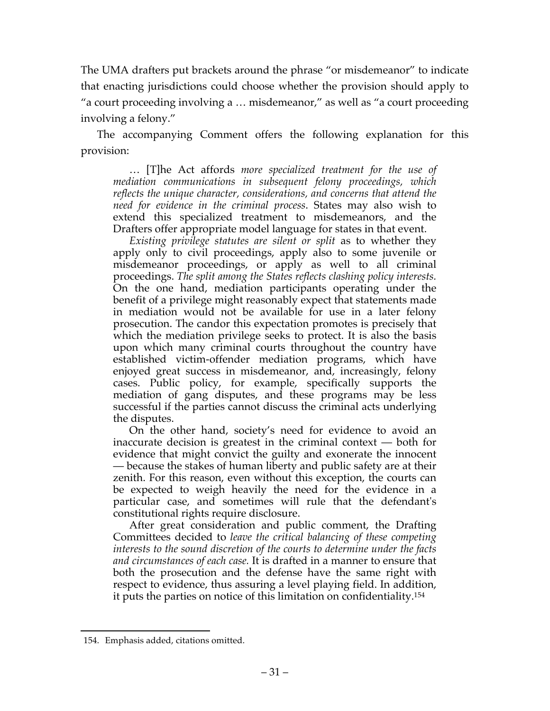The UMA drafters put brackets around the phrase "or misdemeanor" to indicate that enacting jurisdictions could choose whether the provision should apply to "a court proceeding involving a … misdemeanor," as well as "a court proceeding involving a felony."

The accompanying Comment offers the following explanation for this provision:

… [T]he Act affords *more specialized treatment for the use of mediation communications in subsequent felony proceedings, which reflects the unique character, considerations, and concerns that attend the need for evidence in the criminal process*. States may also wish to extend this specialized treatment to misdemeanors, and the Drafters offer appropriate model language for states in that event.

*Existing privilege statutes are silent or split* as to whether they apply only to civil proceedings, apply also to some juvenile or misdemeanor proceedings, or apply as well to all criminal proceedings. *The split among the States reflects clashing policy interests.* On the one hand, mediation participants operating under the benefit of a privilege might reasonably expect that statements made in mediation would not be available for use in a later felony prosecution. The candor this expectation promotes is precisely that which the mediation privilege seeks to protect. It is also the basis upon which many criminal courts throughout the country have established victim-offender mediation programs, which have enjoyed great success in misdemeanor, and, increasingly, felony cases. Public policy, for example, specifically supports the mediation of gang disputes, and these programs may be less successful if the parties cannot discuss the criminal acts underlying the disputes.

On the other hand, society's need for evidence to avoid an inaccurate decision is greatest in the criminal context — both for evidence that might convict the guilty and exonerate the innocent — because the stakes of human liberty and public safety are at their zenith. For this reason, even without this exception, the courts can be expected to weigh heavily the need for the evidence in a particular case, and sometimes will rule that the defendant's constitutional rights require disclosure.

After great consideration and public comment, the Drafting Committees decided to *leave the critical balancing of these competing interests to the sound discretion of the courts to determine under the facts and circumstances of each case.* It is drafted in a manner to ensure that both the prosecution and the defense have the same right with respect to evidence, thus assuring a level playing field. In addition, it puts the parties on notice of this limitation on confidentiality.154

 <sup>154.</sup> Emphasis added, citations omitted.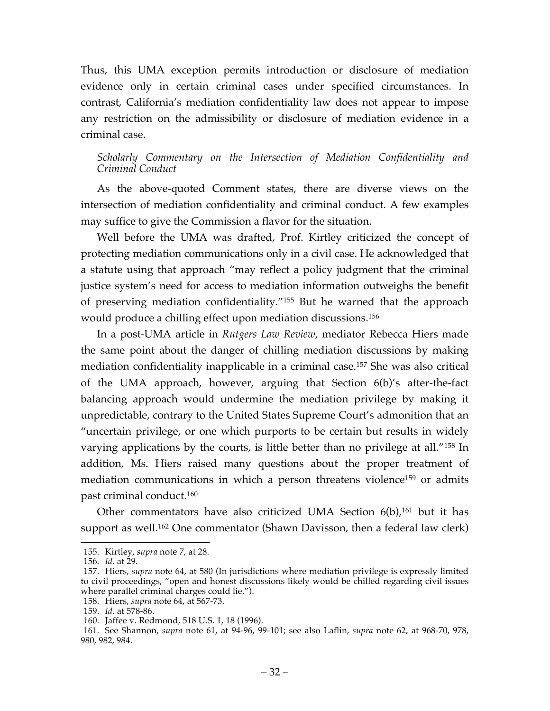Thus, this UMA exception permits introduction or disclosure of mediation evidence only in certain criminal cases under specified circumstances. In contrast, California's mediation confidentiality law does not appear to impose any restriction on the admissibility or disclosure of mediation evidence in a criminal case.

### *Scholarly Commentary on the Intersection of Mediation Confidentiality and Criminal Conduct*

As the above-quoted Comment states, there are diverse views on the intersection of mediation confidentiality and criminal conduct. A few examples may suffice to give the Commission a flavor for the situation.

Well before the UMA was drafted, Prof. Kirtley criticized the concept of protecting mediation communications only in a civil case. He acknowledged that a statute using that approach "may reflect a policy judgment that the criminal justice system's need for access to mediation information outweighs the benefit of preserving mediation confidentiality."155 But he warned that the approach would produce a chilling effect upon mediation discussions.156

In a post-UMA article in *Rutgers Law Review,* mediator Rebecca Hiers made the same point about the danger of chilling mediation discussions by making mediation confidentiality inapplicable in a criminal case. <sup>157</sup> She was also critical of the UMA approach, however, arguing that Section 6(b)'s after-the-fact balancing approach would undermine the mediation privilege by making it unpredictable, contrary to the United States Supreme Court's admonition that an "uncertain privilege, or one which purports to be certain but results in widely varying applications by the courts, is little better than no privilege at all."158 In addition, Ms. Hiers raised many questions about the proper treatment of mediation communications in which a person threatens violence<sup>159</sup> or admits past criminal conduct.160

Other commentators have also criticized UMA Section 6(b), <sup>161</sup> but it has support as well.162 One commentator (Shawn Davisson, then a federal law clerk)

 <sup>155.</sup> Kirtley, *supra* note 7, at 28.

<sup>156.</sup> *Id.* at 29.

<sup>157.</sup> Hiers, *supra* note 64, at 580 (In jurisdictions where mediation privilege is expressly limited to civil proceedings, "open and honest discussions likely would be chilled regarding civil issues where parallel criminal charges could lie.").

<sup>158.</sup> Hiers, *supra* note 64, at 567-73.

<sup>159.</sup> *Id.* at 578-86.

<sup>160.</sup> Jaffee v. Redmond, 518 U.S. 1, 18 (1996).

<sup>161.</sup> See Shannon, *supra* note 61, at 94-96, 99-101; see also Laflin, *supra* note 62, at 968-70, 978, 980, 982, 984.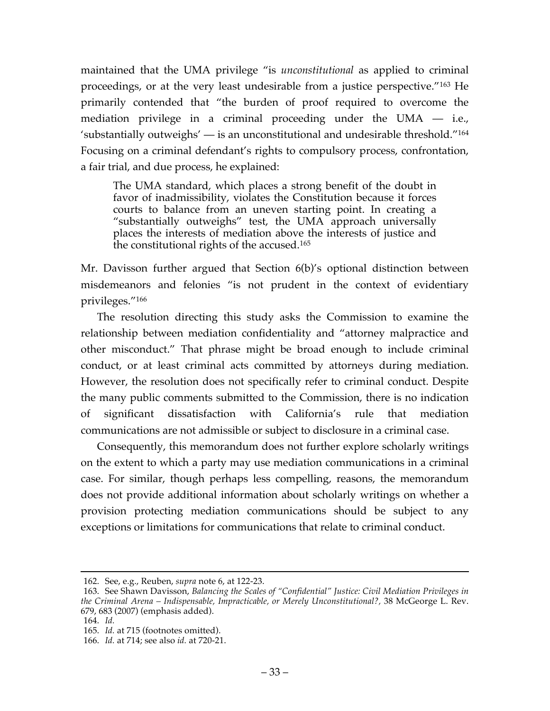maintained that the UMA privilege "is *unconstitutional* as applied to criminal proceedings, or at the very least undesirable from a justice perspective."163 He primarily contended that "the burden of proof required to overcome the mediation privilege in a criminal proceeding under the UMA — i.e., 'substantially outweighs' — is an unconstitutional and undesirable threshold."164 Focusing on a criminal defendant's rights to compulsory process, confrontation, a fair trial, and due process, he explained:

The UMA standard, which places a strong benefit of the doubt in favor of inadmissibility, violates the Constitution because it forces courts to balance from an uneven starting point. In creating a "substantially outweighs" test, the UMA approach universally places the interests of mediation above the interests of justice and the constitutional rights of the accused.165

Mr. Davisson further argued that Section 6(b)'s optional distinction between misdemeanors and felonies "is not prudent in the context of evidentiary privileges."166

The resolution directing this study asks the Commission to examine the relationship between mediation confidentiality and "attorney malpractice and other misconduct." That phrase might be broad enough to include criminal conduct, or at least criminal acts committed by attorneys during mediation. However, the resolution does not specifically refer to criminal conduct. Despite the many public comments submitted to the Commission, there is no indication of significant dissatisfaction with California's rule that mediation communications are not admissible or subject to disclosure in a criminal case.

Consequently, this memorandum does not further explore scholarly writings on the extent to which a party may use mediation communications in a criminal case. For similar, though perhaps less compelling, reasons, the memorandum does not provide additional information about scholarly writings on whether a provision protecting mediation communications should be subject to any exceptions or limitations for communications that relate to criminal conduct.

 <sup>162.</sup> See, e.g., Reuben, *supra* note 6, at 122-23.

<sup>163.</sup> See Shawn Davisson, *Balancing the Scales of "Confidential" Justice: Civil Mediation Privileges in the Criminal Arena – Indispensable, Impracticable, or Merely Unconstitutional?,* 38 McGeorge L. Rev. 679, 683 (2007) (emphasis added).

<sup>164.</sup> *Id.*

<sup>165.</sup> *Id.* at 715 (footnotes omitted).

<sup>166.</sup> *Id.* at 714; see also *id.* at 720-21.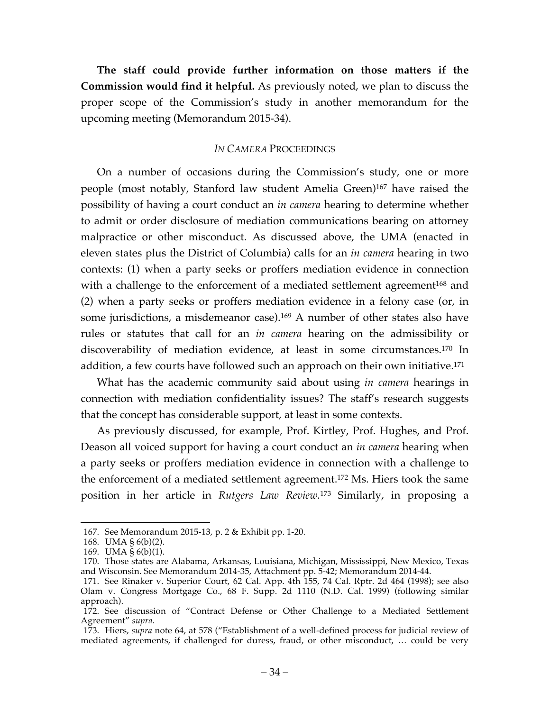**The staff could provide further information on those matters if the Commission would find it helpful.** As previously noted, we plan to discuss the proper scope of the Commission's study in another memorandum for the upcoming meeting (Memorandum 2015-34).

#### *IN CAMERA* PROCEEDINGS

On a number of occasions during the Commission's study, one or more people (most notably, Stanford law student Amelia Green)167 have raised the possibility of having a court conduct an *in camera* hearing to determine whether to admit or order disclosure of mediation communications bearing on attorney malpractice or other misconduct. As discussed above, the UMA (enacted in eleven states plus the District of Columbia) calls for an *in camera* hearing in two contexts: (1) when a party seeks or proffers mediation evidence in connection with a challenge to the enforcement of a mediated settlement agreement<sup>168</sup> and (2) when a party seeks or proffers mediation evidence in a felony case (or, in some jurisdictions, a misdemeanor case).<sup>169</sup> A number of other states also have rules or statutes that call for an *in camera* hearing on the admissibility or discoverability of mediation evidence, at least in some circumstances.170 In addition, a few courts have followed such an approach on their own initiative.<sup>171</sup>

What has the academic community said about using *in camera* hearings in connection with mediation confidentiality issues? The staff's research suggests that the concept has considerable support, at least in some contexts.

As previously discussed, for example, Prof. Kirtley, Prof. Hughes, and Prof. Deason all voiced support for having a court conduct an *in camera* hearing when a party seeks or proffers mediation evidence in connection with a challenge to the enforcement of a mediated settlement agreement.172 Ms. Hiers took the same position in her article in *Rutgers Law Review.*<sup>173</sup> Similarly, in proposing a

 <sup>167.</sup> See Memorandum 2015-13, p. 2 & Exhibit pp. 1-20.

<sup>168.</sup> UMA § 6(b)(2).

<sup>169.</sup> UMA § 6(b)(1).

<sup>170.</sup> Those states are Alabama, Arkansas, Louisiana, Michigan, Mississippi, New Mexico, Texas and Wisconsin. See Memorandum 2014-35, Attachment pp. 5-42; Memorandum 2014-44.

<sup>171.</sup> See Rinaker v. Superior Court, 62 Cal. App. 4th 155, 74 Cal. Rptr. 2d 464 (1998); see also Olam v. Congress Mortgage Co., 68 F. Supp. 2d 1110 (N.D. Cal. 1999) (following similar approach).

<sup>172.</sup> See discussion of "Contract Defense or Other Challenge to a Mediated Settlement Agreement" *supra.*

<sup>173.</sup> Hiers, *supra* note 64, at 578 ("Establishment of a well-defined process for judicial review of mediated agreements, if challenged for duress, fraud, or other misconduct, … could be very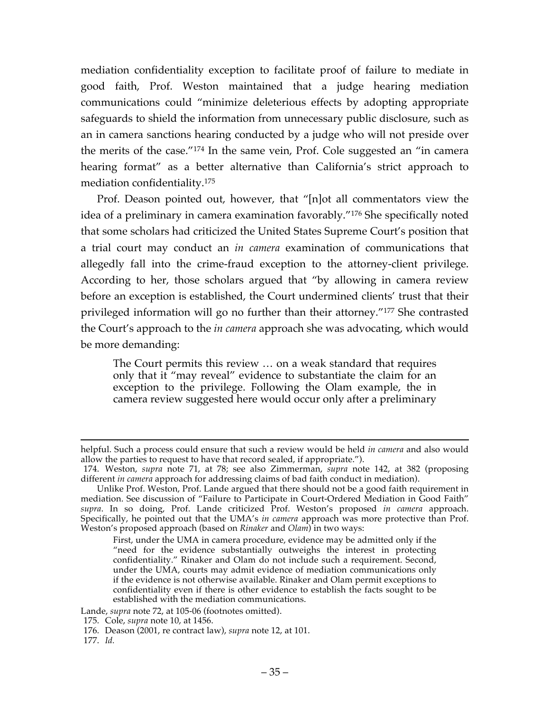mediation confidentiality exception to facilitate proof of failure to mediate in good faith, Prof. Weston maintained that a judge hearing mediation communications could "minimize deleterious effects by adopting appropriate safeguards to shield the information from unnecessary public disclosure, such as an in camera sanctions hearing conducted by a judge who will not preside over the merits of the case."174 In the same vein, Prof. Cole suggested an "in camera hearing format" as a better alternative than California's strict approach to mediation confidentiality.175

Prof. Deason pointed out, however, that "[n]ot all commentators view the idea of a preliminary in camera examination favorably."176 She specifically noted that some scholars had criticized the United States Supreme Court's position that a trial court may conduct an *in camera* examination of communications that allegedly fall into the crime-fraud exception to the attorney-client privilege. According to her, those scholars argued that "by allowing in camera review before an exception is established, the Court undermined clients' trust that their privileged information will go no further than their attorney."177 She contrasted the Court's approach to the *in camera* approach she was advocating, which would be more demanding:

The Court permits this review … on a weak standard that requires only that it "may reveal" evidence to substantiate the claim for an exception to the privilege. Following the Olam example, the in camera review suggested here would occur only after a preliminary

Lande, *supra* note 72, at 105-06 (footnotes omitted).

helpful. Such a process could ensure that such a review would be held *in camera* and also would allow the parties to request to have that record sealed, if appropriate.").

<sup>174.</sup> Weston, *supra* note 71, at 78; see also Zimmerman, *supra* note 142, at 382 (proposing different *in camera* approach for addressing claims of bad faith conduct in mediation).

Unlike Prof. Weston, Prof. Lande argued that there should not be a good faith requirement in mediation. See discussion of "Failure to Participate in Court-Ordered Mediation in Good Faith" *supra*. In so doing, Prof. Lande criticized Prof. Weston's proposed *in camera* approach. Specifically, he pointed out that the UMA's *in camera* approach was more protective than Prof. Weston's proposed approach (based on *Rinaker* and *Olam*) in two ways:

First, under the UMA in camera procedure, evidence may be admitted only if the "need for the evidence substantially outweighs the interest in protecting confidentiality." Rinaker and Olam do not include such a requirement. Second, under the UMA, courts may admit evidence of mediation communications only if the evidence is not otherwise available. Rinaker and Olam permit exceptions to confidentiality even if there is other evidence to establish the facts sought to be established with the mediation communications.

<sup>175.</sup> Cole, *supra* note 10, at 1456.

<sup>176.</sup> Deason (2001, re contract law), *supra* note 12, at 101.

<sup>177.</sup> *Id.*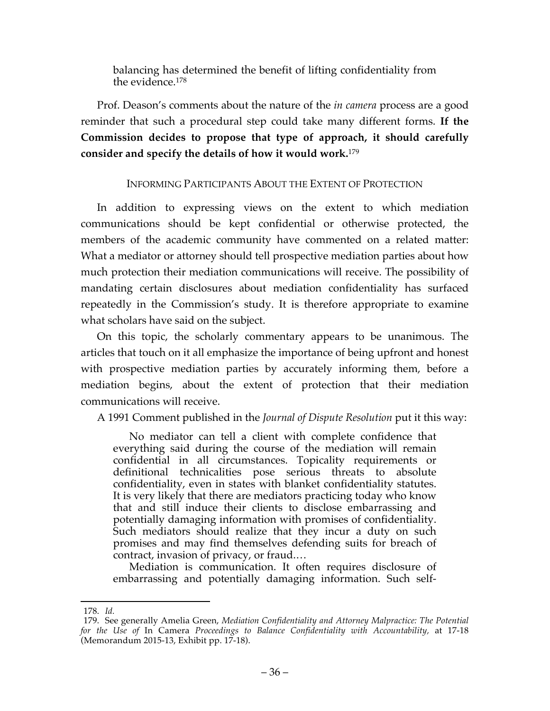balancing has determined the benefit of lifting confidentiality from the evidence.178

Prof. Deason's comments about the nature of the *in camera* process are a good reminder that such a procedural step could take many different forms. **If the Commission decides to propose that type of approach, it should carefully consider and specify the details of how it would work.**<sup>179</sup>

### INFORMING PARTICIPANTS ABOUT THE EXTENT OF PROTECTION

In addition to expressing views on the extent to which mediation communications should be kept confidential or otherwise protected, the members of the academic community have commented on a related matter: What a mediator or attorney should tell prospective mediation parties about how much protection their mediation communications will receive. The possibility of mandating certain disclosures about mediation confidentiality has surfaced repeatedly in the Commission's study. It is therefore appropriate to examine what scholars have said on the subject.

On this topic, the scholarly commentary appears to be unanimous. The articles that touch on it all emphasize the importance of being upfront and honest with prospective mediation parties by accurately informing them, before a mediation begins, about the extent of protection that their mediation communications will receive.

A 1991 Comment published in the *Journal of Dispute Resolution* put it this way:

No mediator can tell a client with complete confidence that everything said during the course of the mediation will remain confidential in all circumstances. Topicality requirements or definitional technicalities pose serious threats to absolute confidentiality, even in states with blanket confidentiality statutes. It is very likely that there are mediators practicing today who know that and still induce their clients to disclose embarrassing and potentially damaging information with promises of confidentiality. Such mediators should realize that they incur a duty on such promises and may find themselves defending suits for breach of contract, invasion of privacy, or fraud.…

Mediation is communication. It often requires disclosure of embarrassing and potentially damaging information. Such self-

 <sup>178.</sup> *Id.*

<sup>179.</sup> See generally Amelia Green, *Mediation Confidentiality and Attorney Malpractice: The Potential for the Use of* In Camera *Proceedings to Balance Confidentiality with Accountability,* at 17-18 (Memorandum 2015-13, Exhibit pp. 17-18).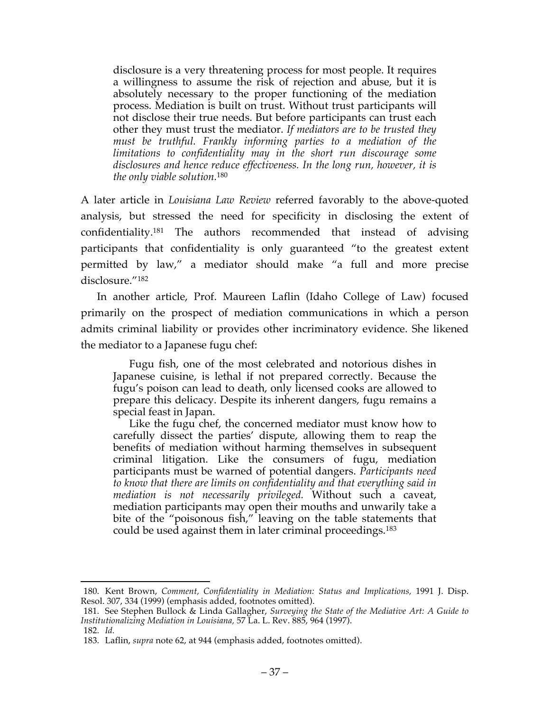disclosure is a very threatening process for most people. It requires a willingness to assume the risk of rejection and abuse, but it is absolutely necessary to the proper functioning of the mediation process. Mediation is built on trust. Without trust participants will not disclose their true needs. But before participants can trust each other they must trust the mediator. *If mediators are to be trusted they must be truthful. Frankly informing parties to a mediation of the limitations to confidentiality may in the short run discourage some disclosures and hence reduce effectiveness. In the long run, however, it is the only viable solution.*<sup>180</sup>

A later article in *Louisiana Law Review* referred favorably to the above-quoted analysis, but stressed the need for specificity in disclosing the extent of confidentiality.181 The authors recommended that instead of advising participants that confidentiality is only guaranteed "to the greatest extent permitted by law," a mediator should make "a full and more precise disclosure."182

In another article, Prof. Maureen Laflin (Idaho College of Law) focused primarily on the prospect of mediation communications in which a person admits criminal liability or provides other incriminatory evidence. She likened the mediator to a Japanese fugu chef:

Fugu fish, one of the most celebrated and notorious dishes in Japanese cuisine, is lethal if not prepared correctly. Because the fugu's poison can lead to death, only licensed cooks are allowed to prepare this delicacy. Despite its inherent dangers, fugu remains a special feast in Japan.

Like the fugu chef, the concerned mediator must know how to carefully dissect the parties' dispute, allowing them to reap the benefits of mediation without harming themselves in subsequent criminal litigation. Like the consumers of fugu, mediation participants must be warned of potential dangers. *Participants need to know that there are limits on confidentiality and that everything said in mediation is not necessarily privileged.* Without such a caveat, mediation participants may open their mouths and unwarily take a bite of the "poisonous fish," leaving on the table statements that could be used against them in later criminal proceedings.183

 <sup>180.</sup> Kent Brown, *Comment, Confidentiality in Mediation: Status and Implications,* 1991 J. Disp. Resol. 307, 334 (1999) (emphasis added, footnotes omitted).

<sup>181.</sup> See Stephen Bullock & Linda Gallagher, *Surveying the State of the Mediative Art: A Guide to Institutionalizing Mediation in Louisiana,* 57 La. L. Rev. 885, 964 (1997).

<sup>182.</sup> *Id.*

<sup>183.</sup> Laflin, *supra* note 62, at 944 (emphasis added, footnotes omitted).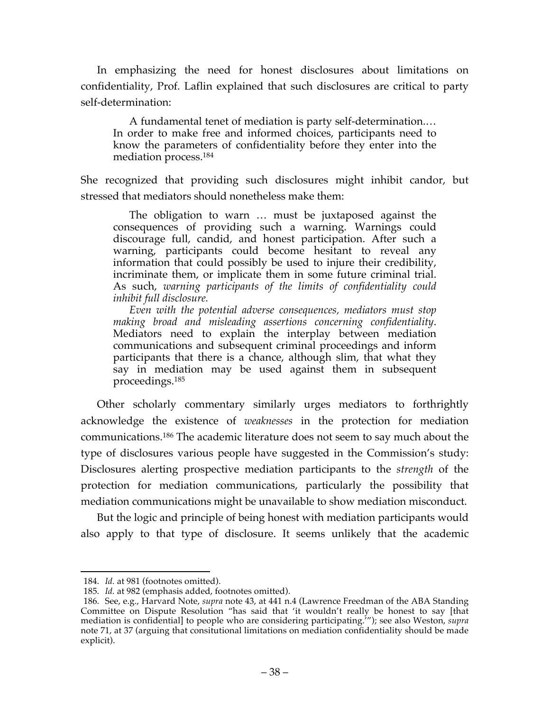In emphasizing the need for honest disclosures about limitations on confidentiality, Prof. Laflin explained that such disclosures are critical to party self-determination:

A fundamental tenet of mediation is party self-determination.… In order to make free and informed choices, participants need to know the parameters of confidentiality before they enter into the mediation process.184

She recognized that providing such disclosures might inhibit candor, but stressed that mediators should nonetheless make them:

The obligation to warn … must be juxtaposed against the consequences of providing such a warning. Warnings could discourage full, candid, and honest participation. After such a warning, participants could become hesitant to reveal any information that could possibly be used to injure their credibility, incriminate them, or implicate them in some future criminal trial. As such, *warning participants of the limits of confidentiality could inhibit full disclosure.*

*Even with the potential adverse consequences, mediators must stop making broad and misleading assertions concerning confidentiality*. Mediators need to explain the interplay between mediation communications and subsequent criminal proceedings and inform participants that there is a chance, although slim, that what they say in mediation may be used against them in subsequent proceedings.185

Other scholarly commentary similarly urges mediators to forthrightly acknowledge the existence of *weaknesses* in the protection for mediation communications. <sup>186</sup> The academic literature does not seem to say much about the type of disclosures various people have suggested in the Commission's study: Disclosures alerting prospective mediation participants to the *strength* of the protection for mediation communications, particularly the possibility that mediation communications might be unavailable to show mediation misconduct.

But the logic and principle of being honest with mediation participants would also apply to that type of disclosure. It seems unlikely that the academic

 <sup>184.</sup> *Id.* at 981 (footnotes omitted).

<sup>185.</sup> *Id.* at 982 (emphasis added, footnotes omitted).

<sup>186.</sup> See, e.g., Harvard Note, *supra* note 43, at 441 n.4 (Lawrence Freedman of the ABA Standing Committee on Dispute Resolution "has said that 'it wouldn't really be honest to say [that mediation is confidential] to people who are considering participating.'"); see also Weston, *supra*  note 71, at 37 (arguing that consitutional limitations on mediation confidentiality should be made explicit).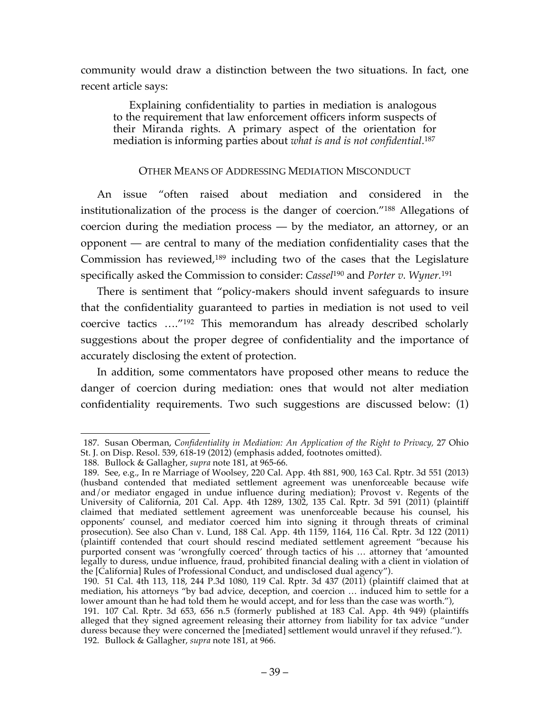community would draw a distinction between the two situations. In fact, one recent article says:

Explaining confidentiality to parties in mediation is analogous to the requirement that law enforcement officers inform suspects of their Miranda rights. A primary aspect of the orientation for mediation is informing parties about *what is and is not confidential*. 187

### OTHER MEANS OF ADDRESSING MEDIATION MISCONDUCT

An issue "often raised about mediation and considered in the institutionalization of the process is the danger of coercion."188 Allegations of coercion during the mediation process — by the mediator, an attorney, or an opponent — are central to many of the mediation confidentiality cases that the Commission has reviewed, <sup>189</sup> including two of the cases that the Legislature specifically asked the Commission to consider: *Cassel*<sup>190</sup> and *Porter v. Wyner.* 191

There is sentiment that "policy-makers should invent safeguards to insure that the confidentiality guaranteed to parties in mediation is not used to veil coercive tactics …."192 This memorandum has already described scholarly suggestions about the proper degree of confidentiality and the importance of accurately disclosing the extent of protection.

In addition, some commentators have proposed other means to reduce the danger of coercion during mediation: ones that would not alter mediation confidentiality requirements. Two such suggestions are discussed below: (1)

 <sup>187.</sup> Susan Oberman, *Confidentiality in Mediation: An Application of the Right to Privacy,* 27 Ohio St. J. on Disp. Resol. 539, 618-19 (2012) (emphasis added, footnotes omitted).

<sup>188.</sup> Bullock & Gallagher, *supra* note 181, at 965-66.

<sup>189.</sup> See, e.g., In re Marriage of Woolsey, 220 Cal. App. 4th 881, 900, 163 Cal. Rptr. 3d 551 (2013) (husband contended that mediated settlement agreement was unenforceable because wife and/or mediator engaged in undue influence during mediation); Provost v. Regents of the University of California, 201 Cal. App. 4th 1289, 1302, 135 Cal. Rptr. 3d 591 (2011) (plaintiff claimed that mediated settlement agreement was unenforceable because his counsel, his opponents' counsel, and mediator coerced him into signing it through threats of criminal prosecution). See also Chan v. Lund, 188 Cal. App. 4th 1159, 1164, 116 Cal. Rptr. 3d 122 (2011) (plaintiff contended that court should rescind mediated settlement agreement "because his purported consent was 'wrongfully coerced' through tactics of his … attorney that 'amounted legally to duress, undue influence, fraud, prohibited financial dealing with a client in violation of the [California] Rules of Professional Conduct, and undisclosed dual agency").

<sup>190.</sup> 51 Cal. 4th 113, 118, 244 P.3d 1080, 119 Cal. Rptr. 3d 437 (2011) (plaintiff claimed that at mediation, his attorneys "by bad advice, deception, and coercion … induced him to settle for a lower amount than he had told them he would accept, and for less than the case was worth."),

<sup>191.</sup> 107 Cal. Rptr. 3d 653, 656 n.5 (formerly published at 183 Cal. App. 4th 949) (plaintiffs alleged that they signed agreement releasing their attorney from liability for tax advice "under duress because they were concerned the [mediated] settlement would unravel if they refused."). 192. Bullock & Gallagher, *supra* note 181, at 966.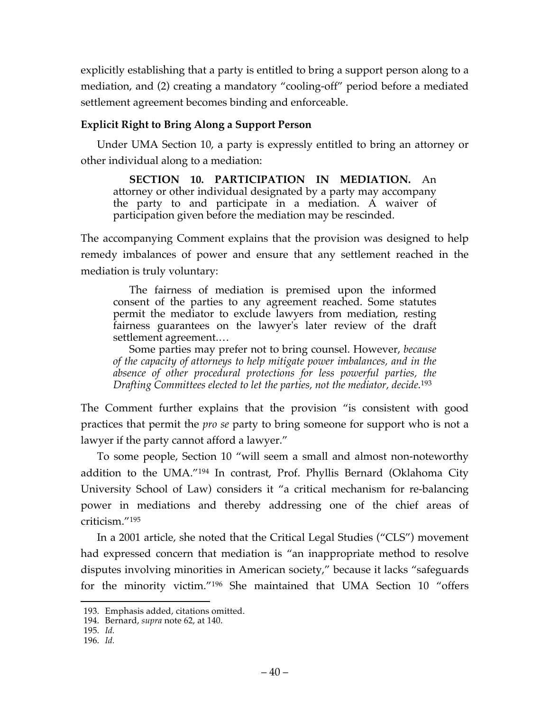explicitly establishing that a party is entitled to bring a support person along to a mediation, and (2) creating a mandatory "cooling-off" period before a mediated settlement agreement becomes binding and enforceable.

### **Explicit Right to Bring Along a Support Person**

Under UMA Section 10, a party is expressly entitled to bring an attorney or other individual along to a mediation:

**SECTION 10. PARTICIPATION IN MEDIATION.** An attorney or other individual designated by a party may accompany the party to and participate in a mediation. A waiver of participation given before the mediation may be rescinded.

The accompanying Comment explains that the provision was designed to help remedy imbalances of power and ensure that any settlement reached in the mediation is truly voluntary:

The fairness of mediation is premised upon the informed consent of the parties to any agreement reached. Some statutes permit the mediator to exclude lawyers from mediation, resting fairness guarantees on the lawyer's later review of the draft settlement agreement.…

Some parties may prefer not to bring counsel. However, *because of the capacity of attorneys to help mitigate power imbalances, and in the absence of other procedural protections for less powerful parties, the Drafting Committees elected to let the parties, not the mediator, decide.*<sup>193</sup>

The Comment further explains that the provision "is consistent with good practices that permit the *pro se* party to bring someone for support who is not a lawyer if the party cannot afford a lawyer."

To some people, Section 10 "will seem a small and almost non-noteworthy addition to the UMA."194 In contrast, Prof. Phyllis Bernard (Oklahoma City University School of Law) considers it "a critical mechanism for re-balancing power in mediations and thereby addressing one of the chief areas of criticism."195

In a 2001 article, she noted that the Critical Legal Studies ("CLS") movement had expressed concern that mediation is "an inappropriate method to resolve disputes involving minorities in American society," because it lacks "safeguards for the minority victim."196 She maintained that UMA Section 10 "offers

 <sup>193.</sup> Emphasis added, citations omitted.

<sup>194.</sup> Bernard, *supra* note 62, at 140.

<sup>195.</sup> *Id.*

<sup>196.</sup> *Id.*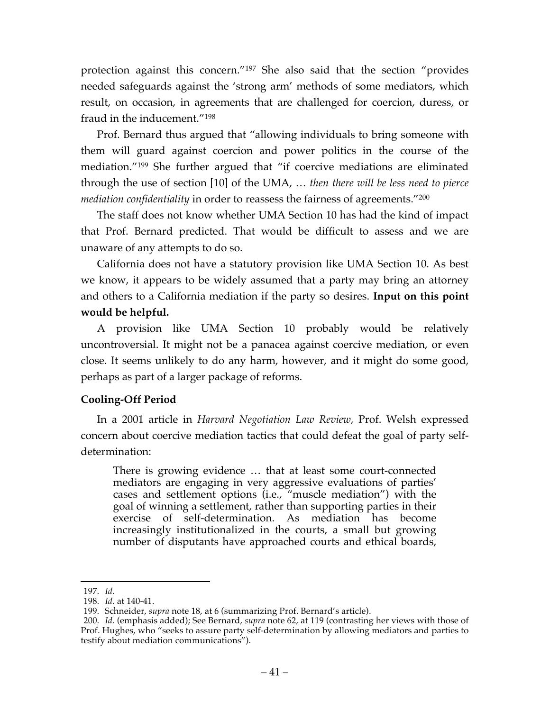protection against this concern."197 She also said that the section "provides needed safeguards against the 'strong arm' methods of some mediators, which result, on occasion, in agreements that are challenged for coercion, duress, or fraud in the inducement."198

Prof. Bernard thus argued that "allowing individuals to bring someone with them will guard against coercion and power politics in the course of the mediation."199 She further argued that "if coercive mediations are eliminated through the use of section [10] of the UMA, … *then there will be less need to pierce mediation confidentiality* in order to reassess the fairness of agreements."200

The staff does not know whether UMA Section 10 has had the kind of impact that Prof. Bernard predicted. That would be difficult to assess and we are unaware of any attempts to do so.

California does not have a statutory provision like UMA Section 10. As best we know, it appears to be widely assumed that a party may bring an attorney and others to a California mediation if the party so desires. **Input on this point would be helpful.**

A provision like UMA Section 10 probably would be relatively uncontroversial. It might not be a panacea against coercive mediation, or even close. It seems unlikely to do any harm, however, and it might do some good, perhaps as part of a larger package of reforms.

# **Cooling-Off Period**

In a 2001 article in *Harvard Negotiation Law Review,* Prof. Welsh expressed concern about coercive mediation tactics that could defeat the goal of party selfdetermination:

There is growing evidence … that at least some court-connected mediators are engaging in very aggressive evaluations of parties' cases and settlement options (i.e., "muscle mediation") with the goal of winning a settlement, rather than supporting parties in their exercise of self-determination. As mediation has become increasingly institutionalized in the courts, a small but growing number of disputants have approached courts and ethical boards,

 <sup>197.</sup> *Id.*

<sup>198.</sup> *Id.* at 140-41.

<sup>199.</sup> Schneider, *supra* note 18, at 6 (summarizing Prof. Bernard's article).

<sup>200.</sup> *Id.* (emphasis added); See Bernard, *supra* note 62, at 119 (contrasting her views with those of Prof. Hughes, who "seeks to assure party self-determination by allowing mediators and parties to testify about mediation communications").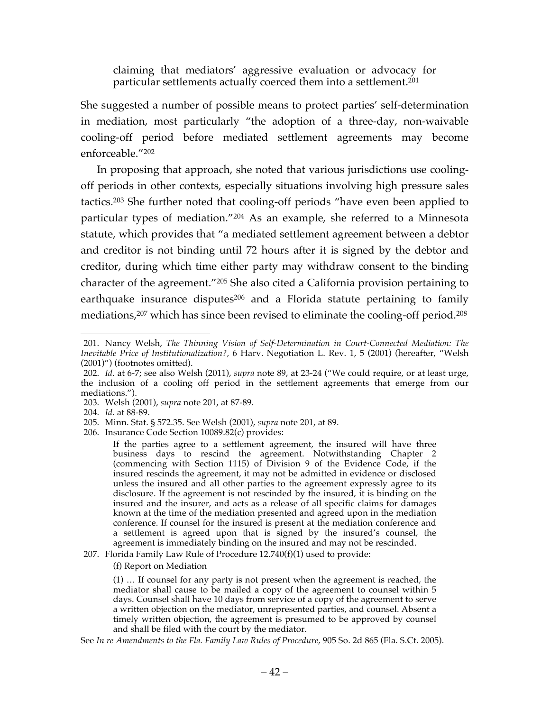claiming that mediators' aggressive evaluation or advocacy for particular settlements actually coerced them into a settlement.<sup>201</sup>

She suggested a number of possible means to protect parties' self-determination in mediation, most particularly "the adoption of a three-day, non-waivable cooling-off period before mediated settlement agreements may become enforceable."202

In proposing that approach, she noted that various jurisdictions use coolingoff periods in other contexts, especially situations involving high pressure sales tactics.203 She further noted that cooling-off periods "have even been applied to particular types of mediation."204 As an example, she referred to a Minnesota statute, which provides that "a mediated settlement agreement between a debtor and creditor is not binding until 72 hours after it is signed by the debtor and creditor, during which time either party may withdraw consent to the binding character of the agreement."205 She also cited a California provision pertaining to earthquake insurance disputes<sup>206</sup> and a Florida statute pertaining to family mediations,<sup>207</sup> which has since been revised to eliminate the cooling-off period.<sup>208</sup>

207. Florida Family Law Rule of Procedure 12.740(f)(1) used to provide:

(f) Report on Mediation

(1) … If counsel for any party is not present when the agreement is reached, the mediator shall cause to be mailed a copy of the agreement to counsel within 5 days. Counsel shall have 10 days from service of a copy of the agreement to serve a written objection on the mediator, unrepresented parties, and counsel. Absent a timely written objection, the agreement is presumed to be approved by counsel and shall be filed with the court by the mediator.

See *In re Amendments to the Fla. Family Law Rules of Procedure,* 905 So. 2d 865 (Fla. S.Ct. 2005).

 <sup>201.</sup> Nancy Welsh, *The Thinning Vision of Self-Determination in Court-Connected Mediation: The Inevitable Price of Institutionalization?,* 6 Harv. Negotiation L. Rev. 1, 5 (2001) (hereafter, "Welsh (2001)") (footnotes omitted).

<sup>202.</sup> *Id.* at 6-7; see also Welsh (2011), *supra* note 89, at 23-24 ("We could require, or at least urge, the inclusion of a cooling off period in the settlement agreements that emerge from our mediations.").

<sup>203.</sup> Welsh (2001), *supra* note 201, at 87-89.

<sup>204.</sup> *Id.* at 88-89.

<sup>205.</sup> Minn. Stat. § 572.35. See Welsh (2001), *supra* note 201, at 89.

<sup>206.</sup> Insurance Code Section 10089.82(c) provides:

If the parties agree to a settlement agreement, the insured will have three business days to rescind the agreement. Notwithstanding Chapter 2 (commencing with Section 1115) of Division 9 of the Evidence Code, if the insured rescinds the agreement, it may not be admitted in evidence or disclosed unless the insured and all other parties to the agreement expressly agree to its disclosure. If the agreement is not rescinded by the insured, it is binding on the insured and the insurer, and acts as a release of all specific claims for damages known at the time of the mediation presented and agreed upon in the mediation conference. If counsel for the insured is present at the mediation conference and a settlement is agreed upon that is signed by the insured's counsel, the agreement is immediately binding on the insured and may not be rescinded.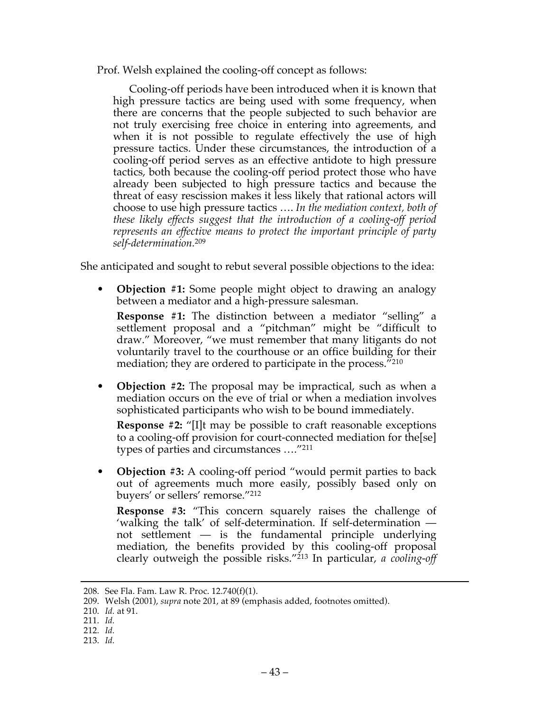Prof. Welsh explained the cooling-off concept as follows:

Cooling-off periods have been introduced when it is known that high pressure tactics are being used with some frequency, when there are concerns that the people subjected to such behavior are not truly exercising free choice in entering into agreements, and when it is not possible to regulate effectively the use of high pressure tactics. Under these circumstances, the introduction of a cooling-off period serves as an effective antidote to high pressure tactics, both because the cooling-off period protect those who have already been subjected to high pressure tactics and because the threat of easy rescission makes it less likely that rational actors will choose to use high pressure tactics …. *In the mediation context, both of these likely effects suggest that the introduction of a cooling-off period represents an effective means to protect the important principle of party self-determination.*<sup>209</sup>

She anticipated and sought to rebut several possible objections to the idea:

• **Objection #1:** Some people might object to drawing an analogy between a mediator and a high-pressure salesman.

**Response #1:** The distinction between a mediator "selling" a settlement proposal and a "pitchman" might be "difficult to draw." Moreover, "we must remember that many litigants do not voluntarily travel to the courthouse or an office building for their mediation; they are ordered to participate in the process."210

**Objection #2:** The proposal may be impractical, such as when a mediation occurs on the eve of trial or when a mediation involves sophisticated participants who wish to be bound immediately.

**Response #2:** "[I]t may be possible to craft reasonable exceptions to a cooling-off provision for court-connected mediation for the[se] types of parties and circumstances …."211

**Objection #3:** A cooling-off period "would permit parties to back out of agreements much more easily, possibly based only on buyers' or sellers' remorse."212

**Response #3:** "This concern squarely raises the challenge of 'walking the talk' of self-determination. If self-determination not settlement — is the fundamental principle underlying mediation, the benefits provided by this cooling-off proposal clearly outweigh the possible risks."213 In particular, *a cooling-off* 

 <sup>208.</sup> See Fla. Fam. Law R. Proc. 12.740(f)(1).

<sup>209.</sup> Welsh (2001), *supra* note 201, at 89 (emphasis added, footnotes omitted).

<sup>210.</sup> *Id.* at 91.

<sup>211.</sup> *Id.*

<sup>212.</sup> *Id.*

<sup>213.</sup> *Id.*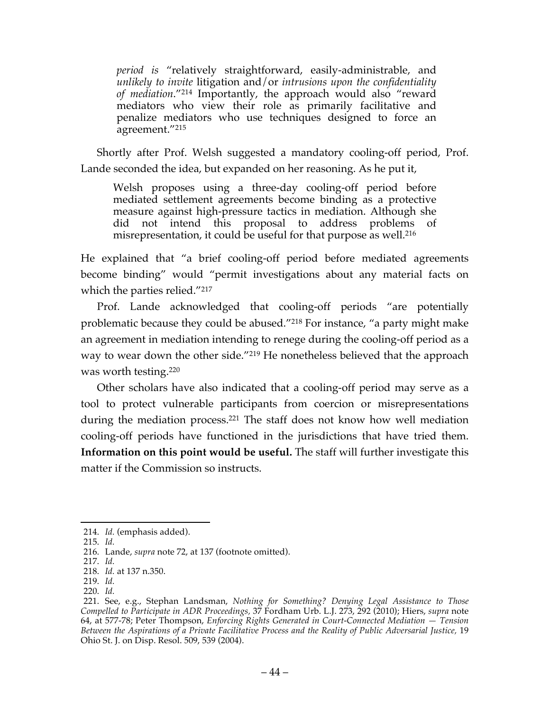*period is* "relatively straightforward, easily-administrable, and *unlikely to invite* litigation and/or *intrusions upon the confidentiality of mediation*."214 Importantly, the approach would also "reward mediators who view their role as primarily facilitative and penalize mediators who use techniques designed to force an agreement."215

Shortly after Prof. Welsh suggested a mandatory cooling-off period, Prof. Lande seconded the idea, but expanded on her reasoning. As he put it,

Welsh proposes using a three-day cooling-off period before mediated settlement agreements become binding as a protective measure against high-pressure tactics in mediation. Although she did not intend this proposal to address problems of misrepresentation, it could be useful for that purpose as well.216

He explained that "a brief cooling-off period before mediated agreements become binding" would "permit investigations about any material facts on which the parties relied."<sup>217</sup>

Prof. Lande acknowledged that cooling-off periods "are potentially problematic because they could be abused."218 For instance, "a party might make an agreement in mediation intending to renege during the cooling-off period as a way to wear down the other side."219 He nonetheless believed that the approach was worth testing.220

Other scholars have also indicated that a cooling-off period may serve as a tool to protect vulnerable participants from coercion or misrepresentations during the mediation process. <sup>221</sup> The staff does not know how well mediation cooling-off periods have functioned in the jurisdictions that have tried them. **Information on this point would be useful.** The staff will further investigate this matter if the Commission so instructs.

 <sup>214.</sup> *Id.* (emphasis added).

<sup>215.</sup> *Id.*

<sup>216.</sup> Lande, *supra* note 72, at 137 (footnote omitted).

<sup>217.</sup> *Id.*

<sup>218.</sup> *Id.* at 137 n.350.

<sup>219.</sup> *Id.*

<sup>220.</sup> *Id.*

<sup>221.</sup> See, e.g., Stephan Landsman, *Nothing for Something? Denying Legal Assistance to Those Compelled to Participate in ADR Proceedings,* 37 Fordham Urb. L.J. 273, 292 (2010); Hiers, *supra* note 64, at 577-78; Peter Thompson, *Enforcing Rights Generated in Court-Connected Mediation — Tension Between the Aspirations of a Private Facilitative Process and the Reality of Public Adversarial Justice,* 19 Ohio St. J. on Disp. Resol. 509, 539 (2004).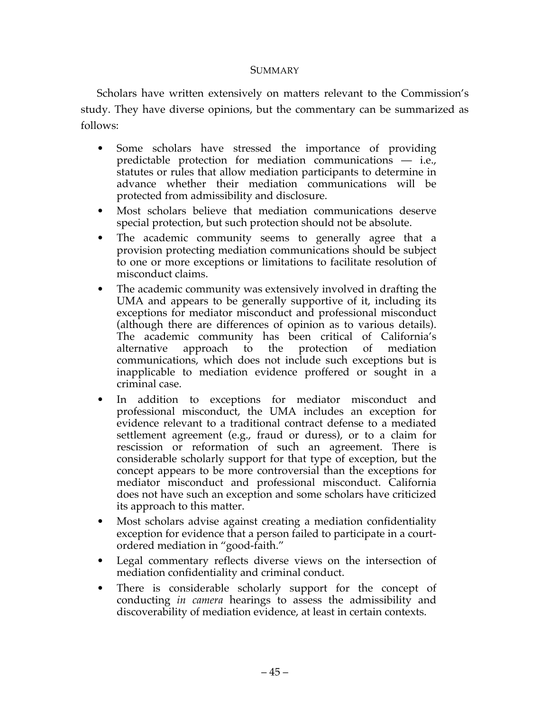#### **SUMMARY**

Scholars have written extensively on matters relevant to the Commission's study. They have diverse opinions, but the commentary can be summarized as follows:

- Some scholars have stressed the importance of providing predictable protection for mediation communications — i.e., statutes or rules that allow mediation participants to determine in advance whether their mediation communications will be protected from admissibility and disclosure.
- Most scholars believe that mediation communications deserve special protection, but such protection should not be absolute.
- The academic community seems to generally agree that a provision protecting mediation communications should be subject to one or more exceptions or limitations to facilitate resolution of misconduct claims.
- The academic community was extensively involved in drafting the UMA and appears to be generally supportive of it, including its exceptions for mediator misconduct and professional misconduct (although there are differences of opinion as to various details). The academic community has been critical of California's alternative approach to the protection of mediation communications, which does not include such exceptions but is inapplicable to mediation evidence proffered or sought in a criminal case.
- In addition to exceptions for mediator misconduct and professional misconduct, the UMA includes an exception for evidence relevant to a traditional contract defense to a mediated settlement agreement (e.g., fraud or duress), or to a claim for rescission or reformation of such an agreement. There is considerable scholarly support for that type of exception, but the concept appears to be more controversial than the exceptions for mediator misconduct and professional misconduct. California does not have such an exception and some scholars have criticized its approach to this matter.
- Most scholars advise against creating a mediation confidentiality exception for evidence that a person failed to participate in a courtordered mediation in "good-faith."
- Legal commentary reflects diverse views on the intersection of mediation confidentiality and criminal conduct.
- There is considerable scholarly support for the concept of conducting *in camera* hearings to assess the admissibility and discoverability of mediation evidence, at least in certain contexts.